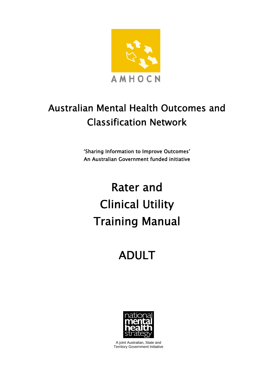

# Australian Mental Health Outcomes and Classification Network

'Sharing Information to Improve Outcomes' An Australian Government funded initiative

# Rater and Clinical Utility Training Manual

# ADULT



A joint Australian, State and Territory Government Initiative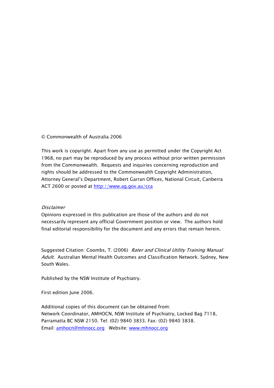#### © Commonwealth of Australia 2006

This work is copyright. Apart from any use as permitted under the Copyright Act 1968, no part may be reproduced by any process without prior written permission from the Commonwealth. Requests and inquiries concerning reproduction and rights should be addressed to the Commonwealth Copyright Administration, Attorney General's Department, Robert Garran Offices, National Circuit, Canberra ACT 2600 or posted at http://www.ag.gov.au/cca

#### Disclaimer

Opinions expressed in this publication are those of the authors and do not necessarily represent any official Government position or view. The authors hold final editorial responsibility for the document and any errors that remain herein.

Suggested Citation: Coombs, T. (2006) Rater and Clinical Utility Training Manual: Adult. Australian Mental Health Outcomes and Classification Network. Sydney, New South Wales.

Published by the NSW Institute of Psychiatry.

First edition June 2006.

Additional copies of this document can be obtained from: Network Coordinator, AMHOCN, NSW Institute of Psychiatry, Locked Bag 7118, Parramatta BC NSW 2150. Tel: (02) 9840 3833. Fax: (02) 9840 3838. Email: amhocn@mhnocc.org Website: www.mhnocc.org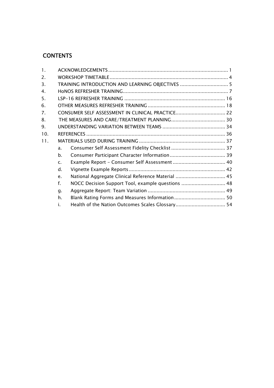# **CONTENTS**

| 1.  |                |                                                    |  |
|-----|----------------|----------------------------------------------------|--|
| 2.  |                |                                                    |  |
| 3.  |                | TRAINING INTRODUCTION AND LEARNING OBJECTIVES  5   |  |
| 4.  |                |                                                    |  |
| 5.  |                |                                                    |  |
| 6.  |                |                                                    |  |
| 7.  |                |                                                    |  |
| 8.  |                |                                                    |  |
| 9.  |                |                                                    |  |
| 10. |                |                                                    |  |
| 11. |                |                                                    |  |
|     | a <sub>z</sub> |                                                    |  |
|     | $h_{\cdot}$    |                                                    |  |
|     | $\mathsf{C}$ . |                                                    |  |
|     | $\mathsf{d}$ . |                                                    |  |
|     | e.             | National Aggregate Clinical Reference Material  45 |  |
|     | f.             | NOCC Decision Support Tool, example questions  48  |  |
|     | g.             |                                                    |  |
|     | h.             |                                                    |  |
|     | i.             |                                                    |  |
|     |                |                                                    |  |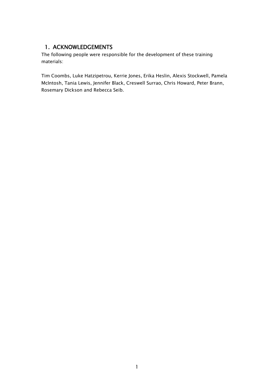## 1. ACKNOWLEDGEMENTS

The following people were responsible for the development of these training materials:

Tim Coombs, Luke Hatzipetrou, Kerrie Jones, Erika Heslin, Alexis Stockwell, Pamela McIntosh, Tania Lewis, Jennifer Black, Creswell Surrao, Chris Howard, Peter Brann, Rosemary Dickson and Rebecca Seib.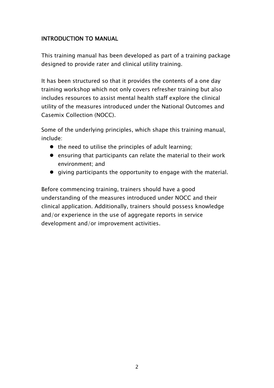## INTRODUCTION TO MANUAL

This training manual has been developed as part of a training package designed to provide rater and clinical utility training.

It has been structured so that it provides the contents of a one day training workshop which not only covers refresher training but also includes resources to assist mental health staff explore the clinical utility of the measures introduced under the National Outcomes and Casemix Collection (NOCC).

Some of the underlying principles, which shape this training manual, include:

- $\bullet$  the need to utilise the principles of adult learning;
- $\bullet$  ensuring that participants can relate the material to their work environment; and
- $\bullet$  giving participants the opportunity to engage with the material.

Before commencing training, trainers should have a good understanding of the measures introduced under NOCC and their clinical application. Additionally, trainers should possess knowledge and/or experience in the use of aggregate reports in service development and/or improvement activities.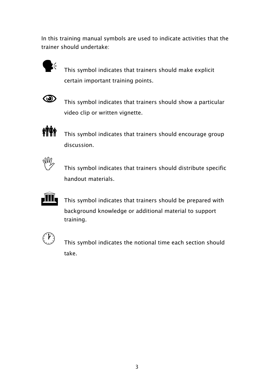In this training manual symbols are used to indicate activities that the trainer should undertake:



 $\mathbf{y}^2$  This symbol indicates that trainers should make explicit certain important training points.



 $\circled{1}$  This symbol indicates that trainers should show a particular video clip or written vignette.



**in T** discussion.



This symbol indicates that trainers should distribute specific handout materials.



This symbol indicates that trainers should be prepared with background knowledge or additional material to support training.



 This symbol indicates the notional time each section should take.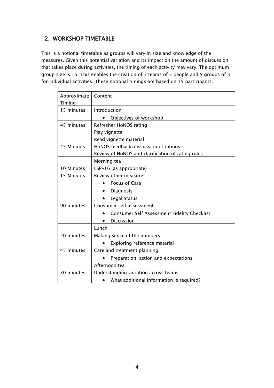## 2. WORKSHOP TIMETABLE

This is a notional timetable as groups will vary in size and knowledge of the measures. Given this potential variation and its impact on the amount of discussion that takes place during activities, the timing of each activity may vary. The optimum group size is 15. This enables the creation of 3 teams of 5 people and 5 groups of 3 for individual activities. These notional timings are based on 15 participants.

| Approximate | Content                                               |
|-------------|-------------------------------------------------------|
| Timing      |                                                       |
| 15 minutes  | Introduction                                          |
|             | Objectives of workshop                                |
| 45 minutes  | Refresher HoNOS rating                                |
|             | Play vignette                                         |
|             | Read vignette material                                |
| 45 Minutes  | HoNOS feedback/discussion of ratings                  |
|             | Review of HoNOS and clarification of rating rules     |
|             | Morning tea                                           |
| 10 Minutes  | LSP-16 (as appropriate)                               |
| 15 Minutes  | Review other measures                                 |
|             | <b>Focus of Care</b>                                  |
|             | Diagnosis                                             |
|             | Legal Status                                          |
| 90 minutes  | Consumer self assessment                              |
|             | <b>Consumer Self Assessment Fidelity Checklist</b>    |
|             | <b>Discussion</b><br>$\bullet$                        |
|             | Lunch                                                 |
| 20 minutes  | Making sense of the numbers                           |
|             | Exploring reference material                          |
| 45 minutes  | Care and treatment planning                           |
|             | Preparation, action and expectations                  |
|             | Afternoon tea                                         |
| 30 minutes  | Understanding variation across teams                  |
|             | What additional information is required?<br>$\bullet$ |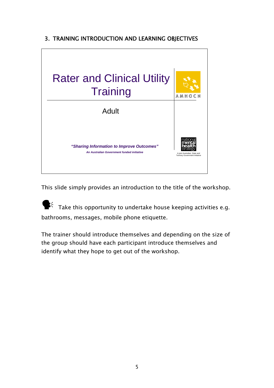# 3. TRAINING INTRODUCTION AND LEARNING OBJECTIVES



This slide simply provides an introduction to the title of the workshop.

 $\mathbf{F}^{\zeta}$  Take this opportunity to undertake house keeping activities e.g. bathrooms, messages, mobile phone etiquette.

The trainer should introduce themselves and depending on the size of the group should have each participant introduce themselves and identify what they hope to get out of the workshop.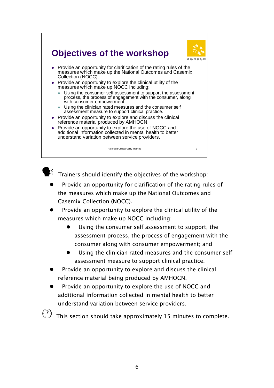



 $\mathbb{R}^2$  Trainers should identify the objectives of the workshop:

- Provide an opportunity for clarification of the rating rules of the measures which make up the National Outcomes and Casemix Collection (NOCC).
- Provide an opportunity to explore the clinical utility of the measures which make up NOCC including:
	- $\bullet$  Using the consumer self assessment to support, the assessment process, the process of engagement with the consumer along with consumer empowerment; and
	- Using the clinician rated measures and the consumer self assessment measure to support clinical practice.
- Provide an opportunity to explore and discuss the clinical reference material being produced by AMHOCN.
- Provide an opportunity to explore the use of NOCC and additional information collected in mental health to better understand variation between service providers.

This section should take approximately 15 minutes to complete.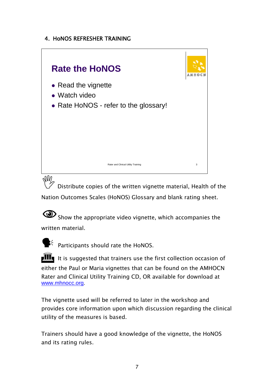## 4. HoNOS REFRESHER TRAINING



 $\sqrt[3]{W}$  Distribute copies of the written vignette material, Health of the Nation Outcomes Scales (HoNOS) Glossary and blank rating sheet.

Show the appropriate video vignette, which accompanies the written material.



 $\mathbb{R}^4$  Participants should rate the HoNOS.

 $\mathbf{H}$  It is suggested that trainers use the first collection occasion of either the Paul or Maria vignettes that can be found on the AMHOCN Rater and Clinical Utility Training CD, OR available for download at www.mhnocc.org.

The vignette used will be referred to later in the workshop and provides core information upon which discussion regarding the clinical utility of the measures is based.

Trainers should have a good knowledge of the vignette, the HoNOS and its rating rules.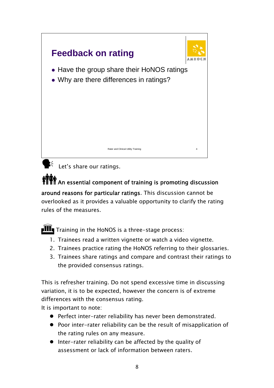

 $\mathbf{F}^2$  Let's share our ratings.

# **MAN**<br>TILE An essential component of training is promoting discussion

around reasons for particular ratings. This discussion cannot be overlooked as it provides a valuable opportunity to clarify the rating rules of the measures.

 $\mathbf{III}_{\mathbf{I}}$  Training in the HoNOS is a three-stage process:

- 1. Trainees read a written vignette or watch a video vignette.
- 2. Trainees practice rating the HoNOS referring to their glossaries.
- 3. Trainees share ratings and compare and contrast their ratings to the provided consensus ratings.

This is refresher training. Do not spend excessive time in discussing variation, it is to be expected, however the concern is of extreme differences with the consensus rating.

It is important to note:

- Perfect inter-rater reliability has never been demonstrated.
- Poor inter-rater reliability can be the result of misapplication of the rating rules on any measure.
- $\bullet$  Inter-rater reliability can be affected by the quality of assessment or lack of information between raters.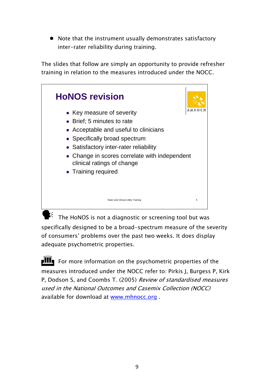$\bullet$  Note that the instrument usually demonstrates satisfactory inter-rater reliability during training.

The slides that follow are simply an opportunity to provide refresher training in relation to the measures introduced under the NOCC.



 $\mathbb{R}^4$  The HoNOS is not a diagnostic or screening tool but was specifically designed to be a broad-spectrum measure of the severity of consumers' problems over the past two weeks. It does display adequate psychometric properties.

 $\mathbf{H}$  For more information on the psychometric properties of the measures introduced under the NOCC refer to: Pirkis J, Burgess P, Kirk P, Dodson S, and Coombs T. (2005) Review of standardised measures used in the National Outcomes and Casemix Collection (NOCC) available for download at www.mhnocc.org .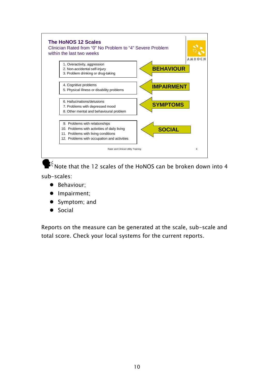

 $\mathbf{P}^2$  Note that the 12 scales of the HoNOS can be broken down into 4

sub-scales:

- **•** Behaviour;
- Impairment;
- Symptom; and
- $\bullet$  Social

Reports on the measure can be generated at the scale, sub-scale and total score. Check your local systems for the current reports.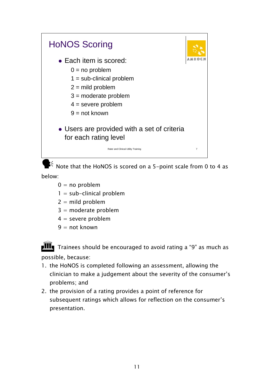

 $\mathbb{R}^4$  Note that the HoNOS is scored on a 5-point scale from 0 to 4 as below:

- $0 = no$  problem
- $1 = sub-clinical problem$
- $2 =$  mild problem
- $3 =$  moderate problem
- $4 =$  severe problem
- $9 = not known$

 $\frac{1}{\sqrt{1-\frac{1}{\sqrt{1-\frac{1}{\sqrt{1-\frac{1}{\sqrt{1-\frac{1}{\sqrt{1-\frac{1}{\sqrt{1-\frac{1}{\sqrt{1-\frac{1}{\sqrt{1-\frac{1}{\sqrt{1-\frac{1}{\sqrt{1-\frac{1}{\sqrt{1-\frac{1}{\sqrt{1-\frac{1}{\sqrt{1-\frac{1}{\sqrt{1-\frac{1}{\sqrt{1-\frac{1}{\sqrt{1-\frac{1}{\sqrt{1-\frac{1}{\sqrt{1-\frac{1}{\sqrt{1-\frac{1}{\sqrt{1-\frac{1}{\sqrt{1-\frac{1}{\sqrt{1-\frac{1}{\sqrt{1-\frac{1}{\sqrt{1-\frac{1$ possible, because:

- 1. the HoNOS is completed following an assessment, allowing the clinician to make a judgement about the severity of the consumer's problems; and
- 2. the provision of a rating provides a point of reference for subsequent ratings which allows for reflection on the consumer's presentation.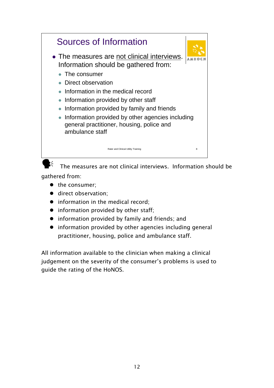

gathered from:

- $\bullet$  the consumer:
- direct observation:
- information in the medical record;
- $\bullet$  information provided by other staff;
- $\bullet$  information provided by family and friends; and
- $\bullet$  information provided by other agencies including general practitioner, housing, police and ambulance staff.

All information available to the clinician when making a clinical judgement on the severity of the consumer's problems is used to guide the rating of the HoNOS.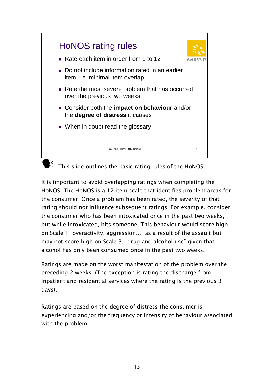

It is important to avoid overlapping ratings when completing the HoNOS. The HoNOS is a 12 item scale that identifies problem areas for the consumer. Once a problem has been rated, the severity of that rating should not influence subsequent ratings. For example, consider the consumer who has been intoxicated once in the past two weeks, but while intoxicated, hits someone. This behaviour would score high on Scale 1 "overactivity, aggression…" as a result of the assault but may not score high on Scale 3, "drug and alcohol use" given that alcohol has only been consumed once in the past two weeks.

Ratings are made on the worst manifestation of the problem over the preceding 2 weeks. (The exception is rating the discharge from inpatient and residential services where the rating is the previous 3 days).

Ratings are based on the degree of distress the consumer is experiencing and/or the frequency or intensity of behaviour associated with the problem.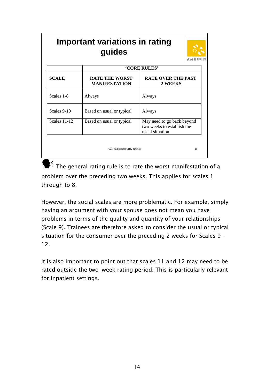| <b>Important variations in rating</b><br>guides |                                               |                                                                             |  |  |  |  |  |  |
|-------------------------------------------------|-----------------------------------------------|-----------------------------------------------------------------------------|--|--|--|--|--|--|
|                                                 |                                               | <b>'CORE RULES'</b>                                                         |  |  |  |  |  |  |
| <b>SCALE</b>                                    | <b>RATE THE WORST</b><br><b>MANIFESTATION</b> | <b>RATE OVER THE PAST</b><br>2 WEEKS                                        |  |  |  |  |  |  |
| Scales 1-8                                      | Always                                        | Always                                                                      |  |  |  |  |  |  |
| Scales 9-10                                     | Based on usual or typical                     | Always                                                                      |  |  |  |  |  |  |
| <b>Scales 11-12</b>                             | Based on usual or typical                     | May need to go back beyond<br>two weeks to establish the<br>usual situation |  |  |  |  |  |  |
|                                                 | Rater and Clinical Utility Training           | 10                                                                          |  |  |  |  |  |  |

 $\blacktriangleright$  The general rating rule is to rate the worst manifestation of a problem over the preceding two weeks. This applies for scales 1 through to 8.

However, the social scales are more problematic. For example, simply having an argument with your spouse does not mean you have problems in terms of the quality and quantity of your relationships (Scale 9). Trainees are therefore asked to consider the usual or typical situation for the consumer over the preceding 2 weeks for Scales 9 – 12.

It is also important to point out that scales 11 and 12 may need to be rated outside the two-week rating period. This is particularly relevant for inpatient settings.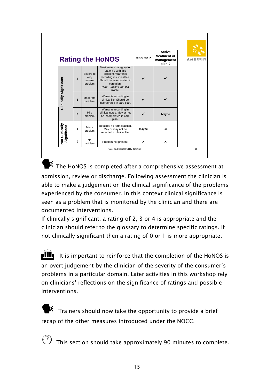|                               |                       |                                        | <b>Rating the HoNOS</b>                                                                                                                                                            | <b>Monitor?</b> | <b>Active</b><br>treatment or<br>management<br>plan? | <b>AMHO</b> |
|-------------------------------|-----------------------|----------------------------------------|------------------------------------------------------------------------------------------------------------------------------------------------------------------------------------|-----------------|------------------------------------------------------|-------------|
| Clinically Significant        | $\boldsymbol{\Delta}$ | Severe to<br>very<br>severe<br>problem | Most severe category for<br>patient's with this<br>problem. Warrants<br>recording in clinical file.<br>Should be incorporated in<br>care plan.<br>Note - patient can get<br>worse. |                 |                                                      |             |
|                               | 3                     | Moderate<br>problem                    | Warrants recording in<br>clinical file. Should be<br>incorporated in care plan.                                                                                                    |                 |                                                      |             |
|                               | $\overline{2}$        | Mild<br>problem                        | Warrants recording in<br>clinical notes. May or not<br>be incorporated in care<br>plan.                                                                                            |                 | Maybe                                                |             |
| Not Clinically<br>Significant | 1                     | Minor<br>problem                       | Requires no formal action.<br>May or may not be<br>recorded in clinical file.                                                                                                      | Maybe           | ×                                                    |             |
|                               | 0                     | <b>No</b><br>problem                   | Problem not present.                                                                                                                                                               | ×               | ×                                                    |             |

 $\blacktriangleright$  The HoNOS is completed after a comprehensive assessment at admission, review or discharge. Following assessment the clinician is able to make a judgement on the clinical significance of the problems experienced by the consumer. In this context clinical significance is seen as a problem that is monitored by the clinician and there are documented interventions.

If clinically significant, a rating of 2, 3 or 4 is appropriate and the clinician should refer to the glossary to determine specific ratings. If not clinically significant then a rating of 0 or 1 is more appropriate.

 $\mathbf{III}_{\mathbf{I}}$  It is important to reinforce that the completion of the HoNOS is an overt judgement by the clinician of the severity of the consumer's problems in a particular domain. Later activities in this workshop rely on clinicians' reflections on the significance of ratings and possible interventions.

Trainers should now take the opportunity to provide a brief recap of the other measures introduced under the NOCC.

This section should take approximately 90 minutes to complete.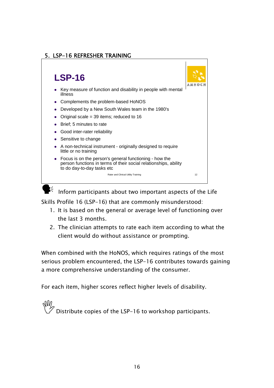## 5. LSP-16 REFRESHER TRAINING



 $\mathbf{k}^2$  Inform participants about two important aspects of the Life

Skills Profile 16 (LSP-16) that are commonly misunderstood:

- 1. It is based on the general or average level of functioning over the last 3 months.
- 2. The clinician attempts to rate each item according to what the client would do without assistance or prompting.

When combined with the HoNOS, which requires ratings of the most serious problem encountered, the LSP-16 contributes towards gaining a more comprehensive understanding of the consumer.

For each item, higher scores reflect higher levels of disability.

Distribute copies of the LSP-16 to workshop participants.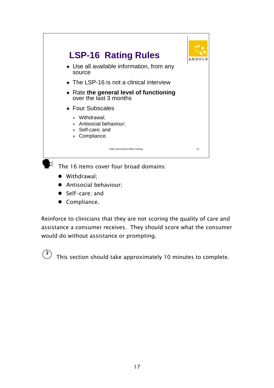

- Withdrawal:
- Antisocial behaviour:
- $\bullet$  Self-care; and
- Compliance.

Reinforce to clinicians that they are not scoring the quality of care and assistance a consumer receives. They should score what the consumer would do without assistance or prompting.



 $\overline{\mathbb{C}}$  This section should take approximately 10 minutes to complete.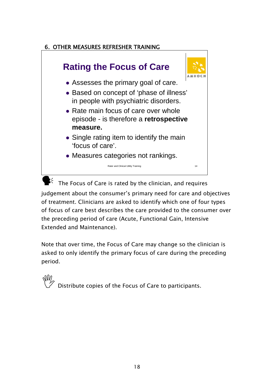## 6. OTHER MEASURES REFRESHER TRAINING



 $\mathbb{R}^4$  The Focus of Care is rated by the clinician, and requires judgement about the consumer's primary need for care and objectives of treatment. Clinicians are asked to identify which one of four types of focus of care best describes the care provided to the consumer over the preceding period of care (Acute, Functional Gain, Intensive Extended and Maintenance).

Note that over time, the Focus of Care may change so the clinician is asked to only identify the primary focus of care during the preceding period.

, Distribute copies of the Focus of Care to participants.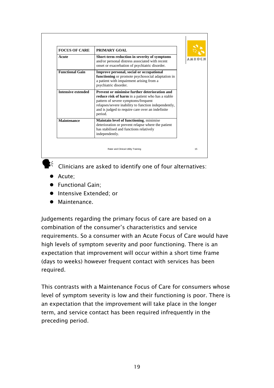| <b>FOCUS OF CARE</b>      | PRIMARY GOAL                                                                                                                                                                                                                                                     |  |
|---------------------------|------------------------------------------------------------------------------------------------------------------------------------------------------------------------------------------------------------------------------------------------------------------|--|
| Acute                     | Short-term reduction in severity of symptoms<br>and/or personal distress associated with recent<br>onset or exacerbation of psychiatric disorder.                                                                                                                |  |
| <b>Functional Gain</b>    | Improve personal, social or occupational<br>functioning or promote psychosocial adaptation in<br>a patient with impairment arising from a<br>psychiatric disorder.                                                                                               |  |
| <b>Intensive extended</b> | Prevent or minimise further deterioration and<br>reduce risk of harm in a patient who has a stable<br>pattern of severe symptoms/frequent<br>relapses/severe inability to function independently,<br>and is judged to require care over an indefinite<br>period. |  |
| <b>Maintenance</b>        | Maintain level of functioning, minimise<br>deterioration or prevent relapse where the patient<br>has stabilised and functions relatively<br>independently.                                                                                                       |  |

 $\mathcal{G}$  Clinicians are asked to identify one of four alternatives:

- Acute:
- **•** Functional Gain:
- **•** Intensive Extended; or
- $\bullet$  Maintenance.

Judgements regarding the primary focus of care are based on a combination of the consumer's characteristics and service requirements. So a consumer with an Acute Focus of Care would have high levels of symptom severity and poor functioning. There is an expectation that improvement will occur within a short time frame (days to weeks) however frequent contact with services has been required.

This contrasts with a Maintenance Focus of Care for consumers whose level of symptom severity is low and their functioning is poor. There is an expectation that the improvement will take place in the longer term, and service contact has been required infrequently in the preceding period.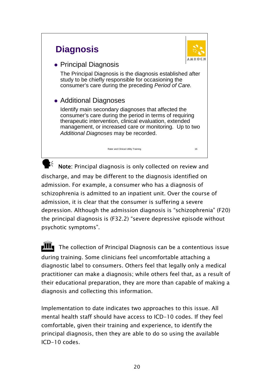# **Diagnosis**



# • Principal Diagnosis

The Principal Diagnosis is the diagnosis established after study to be chiefly responsible for occasioning the consumer's care during the preceding *Period of Care.*

# • Additional Diagnoses

Identify main secondary diagnoses that affected the consumer's care during the period in terms of requiring therapeutic intervention, clinical evaluation, extended management, or increased care or monitoring. Up to two *Additional Diagnoses* may be recorded.

 $\mathbf{k}^2$  Note: Principal diagnosis is only collected on review and discharge, and may be different to the diagnosis identified on admission. For example, a consumer who has a diagnosis of schizophrenia is admitted to an inpatient unit. Over the course of admission, it is clear that the consumer is suffering a severe depression. Although the admission diagnosis is "schizophrenia" (F20) the principal diagnosis is (F32.2) "severe depressive episode without psychotic symptoms".

Rater and Clinical Utility Training 16

**IIII** The collection of Principal Diagnosis can be a contentious issue during training. Some clinicians feel uncomfortable attaching a diagnostic label to consumers. Others feel that legally only a medical practitioner can make a diagnosis; while others feel that, as a result of their educational preparation, they are more than capable of making a diagnosis and collecting this information.

Implementation to date indicates two approaches to this issue. All mental health staff should have access to ICD-10 codes. If they feel comfortable, given their training and experience, to identify the principal diagnosis, then they are able to do so using the available ICD-10 codes.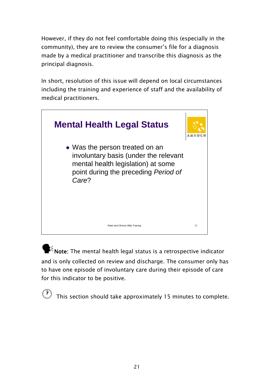However, if they do not feel comfortable doing this (especially in the community), they are to review the consumer's file for a diagnosis made by a medical practitioner and transcribe this diagnosis as the principal diagnosis.

In short, resolution of this issue will depend on local circumstances including the training and experience of staff and the availability of medical practitioners.



 $\mathbf{F}^2$  Note: The mental health legal status is a retrospective indicator and is only collected on review and discharge. The consumer only has to have one episode of involuntary care during their episode of care for this indicator to be positive.

This section should take approximately 15 minutes to complete.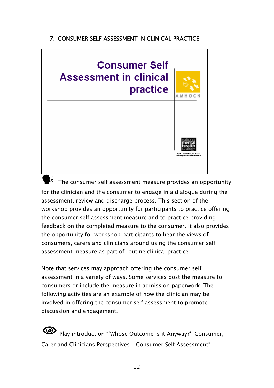## 7. CONSUMER SELF ASSESSMENT IN CLINICAL PRACTICE



 $\mathbf{k}$  The consumer self assessment measure provides an opportunity for the clinician and the consumer to engage in a dialogue during the assessment, review and discharge process. This section of the workshop provides an opportunity for participants to practice offering the consumer self assessment measure and to practice providing feedback on the completed measure to the consumer. It also provides the opportunity for workshop participants to hear the views of consumers, carers and clinicians around using the consumer self assessment measure as part of routine clinical practice.

Note that services may approach offering the consumer self assessment in a variety of ways. Some services post the measure to consumers or include the measure in admission paperwork. The following activities are an example of how the clinician may be involved in offering the consumer self assessment to promote discussion and engagement.

1Play introduction "'Whose Outcome is it Anyway?' Consumer, Carer and Clinicians Perspectives – Consumer Self Assessment".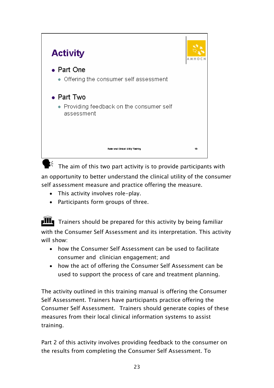

 $\mathbf{F}$  The aim of this two part activity is to provide participants with an opportunity to better understand the clinical utility of the consumer self assessment measure and practice offering the measure.

- This activity involves role-play.
- Participants form groups of three.

 $\parallel$ III Trainers should be prepared for this activity by being familiar with the Consumer Self Assessment and its interpretation. This activity will show:

- how the Consumer Self Assessment can be used to facilitate consumer and clinician engagement; and
- how the act of offering the Consumer Self Assessment can be used to support the process of care and treatment planning.

The activity outlined in this training manual is offering the Consumer Self Assessment. Trainers have participants practice offering the Consumer Self Assessment. Trainers should generate copies of these measures from their local clinical information systems to assist training.

Part 2 of this activity involves providing feedback to the consumer on the results from completing the Consumer Self Assessment. To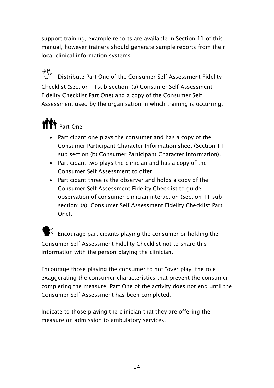support training, example reports are available in Section 11 of this manual, however trainers should generate sample reports from their local clinical information systems.

, Distribute Part One of the Consumer Self Assessment Fidelity Checklist (Section 11sub section; (a) Consumer Self Assessment Fidelity Checklist Part One) and a copy of the Consumer Self Assessment used by the organisation in which training is occurring.

# **NY** Part One

- Participant one plays the consumer and has a copy of the Consumer Participant Character Information sheet (Section 11 sub section (b) Consumer Participant Character Information).
- Participant two plays the clinician and has a copy of the Consumer Self Assessment to offer.
- Participant three is the observer and holds a copy of the Consumer Self Assessment Fidelity Checklist to guide observation of consumer clinician interaction (Section 11 sub section; (a) Consumer Self Assessment Fidelity Checklist Part One).

 $\mathbf{E}^2$  Encourage participants playing the consumer or holding the Consumer Self Assessment Fidelity Checklist not to share this information with the person playing the clinician.

Encourage those playing the consumer to not "over play" the role exaggerating the consumer characteristics that prevent the consumer completing the measure. Part One of the activity does not end until the Consumer Self Assessment has been completed.

Indicate to those playing the clinician that they are offering the measure on admission to ambulatory services.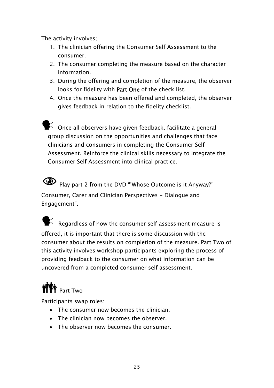The activity involves;

- 1. The clinician offering the Consumer Self Assessment to the consumer.
- 2. The consumer completing the measure based on the character information.
- 3. During the offering and completion of the measure, the observer looks for fidelity with Part One of the check list.
- 4. Once the measure has been offered and completed, the observer gives feedback in relation to the fidelity checklist.

 $\mathbf{k}^{\zeta}$  Once all observers have given feedback, facilitate a general group discussion on the opportunities and challenges that face clinicians and consumers in completing the Consumer Self Assessment. Reinforce the clinical skills necessary to integrate the Consumer Self Assessment into clinical practice.

Play part 2 from the DVD "'Whose Outcome is it Anyway?' Consumer, Carer and Clinician Perspectives - Dialogue and Engagement".

 $\mathbb{R}^{\zeta}$  Regardless of how the consumer self assessment measure is offered, it is important that there is some discussion with the consumer about the results on completion of the measure. Part Two of this activity involves workshop participants exploring the process of providing feedback to the consumer on what information can be uncovered from a completed consumer self assessment.

# **NY** Part Two

Participants swap roles:

- The consumer now becomes the clinician.
- The clinician now becomes the observer.
- The observer now becomes the consumer.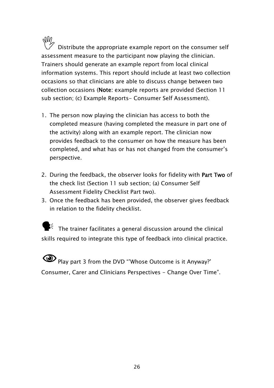$\mathbb{W}_{\diagup}$  Distribute the appropriate example report on the consumer self assessment measure to the participant now playing the clinician. Trainers should generate an example report from local clinical information systems. This report should include at least two collection occasions so that clinicians are able to discuss change between two collection occasions (Note: example reports are provided (Section 11 sub section; (c) Example Reports- Consumer Self Assessment).

- 1. The person now playing the clinician has access to both the completed measure (having completed the measure in part one of the activity) along with an example report. The clinician now provides feedback to the consumer on how the measure has been completed, and what has or has not changed from the consumer's perspective.
- 2. During the feedback, the observer looks for fidelity with Part Two of the check list (Section 11 sub section; (a) Consumer Self Assessment Fidelity Checklist Part two).
- 3. Once the feedback has been provided, the observer gives feedback in relation to the fidelity checklist.

 $\mathbf{F}^{\xi}$  The trainer facilitates a general discussion around the clinical skills required to integrate this type of feedback into clinical practice.

**1Play part 3 from the DVD "'Whose Outcome is it Anyway?'** Consumer, Carer and Clinicians Perspectives - Change Over Time".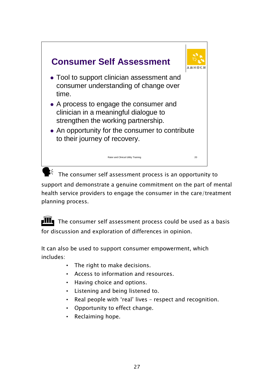

support and demonstrate a genuine commitment on the part of mental health service providers to engage the consumer in the care/treatment planning process.

 $\mathbf{III}_{\mathbf{I}}$  The consumer self assessment process could be used as a basis for discussion and exploration of differences in opinion.

It can also be used to support consumer empowerment, which includes:

- The right to make decisions.
- Access to information and resources.
- Having choice and options.
- Listening and being listened to.
- Real people with 'real' lives respect and recognition.
- Opportunity to effect change.
- Reclaiming hope.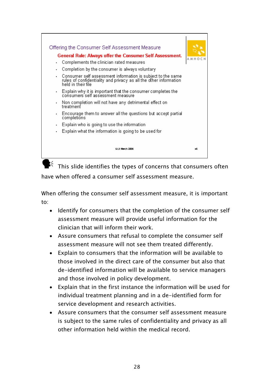

 $\mathbb{K}$  This slide identifies the types of concerns that consumers often have when offered a consumer self assessment measure.

When offering the consumer self assessment measure, it is important to:

- Identify for consumers that the completion of the consumer self assessment measure will provide useful information for the clinician that will inform their work.
- Assure consumers that refusal to complete the consumer self assessment measure will not see them treated differently.
- Explain to consumers that the information will be available to those involved in the direct care of the consumer but also that de-identified information will be available to service managers and those involved in policy development.
- Explain that in the first instance the information will be used for individual treatment planning and in a de-identified form for service development and research activities.
- Assure consumers that the consumer self assessment measure is subject to the same rules of confidentiality and privacy as all other information held within the medical record.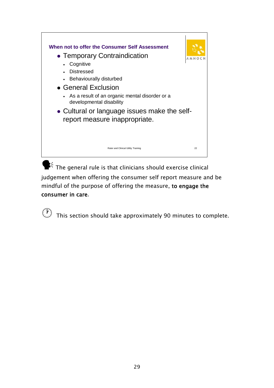

 $\blacktriangleright$ <sup>2</sup> The general rule is that clinicians should exercise clinical judgement when offering the consumer self report measure and be mindful of the purpose of offering the measure, to engage the consumer in care.

 $\circled{r}$  This section should take approximately 90 minutes to complete.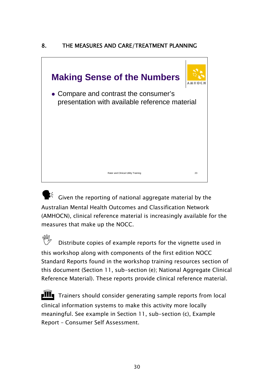# 8. THE MEASURES AND CARE/TREATMENT PLANNING



 $\mathbf{F}^{\zeta}$  Given the reporting of national aggregate material by the Australian Mental Health Outcomes and Classification Network (AMHOCN), clinical reference material is increasingly available for the measures that make up the NOCC.

Distribute copies of example reports for the vignette used in this workshop along with components of the first edition NOCC Standard Reports found in the workshop training resources section of this document (Section 11, sub-section (e); National Aggregate Clinical Reference Material). These reports provide clinical reference material.

 $\mathbf{H}$  Trainers should consider generating sample reports from local clinical information systems to make this activity more locally meaningful. See example in Section 11, sub-section (c), Example Report – Consumer Self Assessment.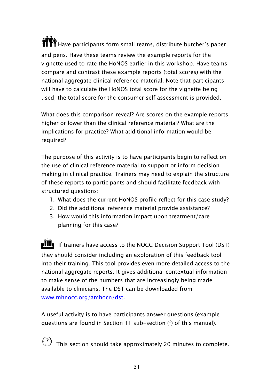**if Th** Have participants form small teams, distribute butcher's paper and pens. Have these teams review the example reports for the vignette used to rate the HoNOS earlier in this workshop. Have teams compare and contrast these example reports (total scores) with the national aggregate clinical reference material. Note that participants will have to calculate the HoNOS total score for the vignette being used; the total score for the consumer self assessment is provided.

What does this comparison reveal? Are scores on the example reports higher or lower than the clinical reference material? What are the implications for practice? What additional information would be required?

The purpose of this activity is to have participants begin to reflect on the use of clinical reference material to support or inform decision making in clinical practice. Trainers may need to explain the structure of these reports to participants and should facilitate feedback with structured questions:

- 1. What does the current HoNOS profile reflect for this case study?
- 2. Did the additional reference material provide assistance?
- 3. How would this information impact upon treatment/care planning for this case?

**III** If trainers have access to the NOCC Decision Support Tool (DST) they should consider including an exploration of this feedback tool into their training. This tool provides even more detailed access to the national aggregate reports. It gives additional contextual information to make sense of the numbers that are increasingly being made available to clinicians. The DST can be downloaded from www.mhnocc.org/amhocn/dst.

A useful activity is to have participants answer questions (example questions are found in Section 11 sub-section (f) of this manual).

This section should take approximately 20 minutes to complete.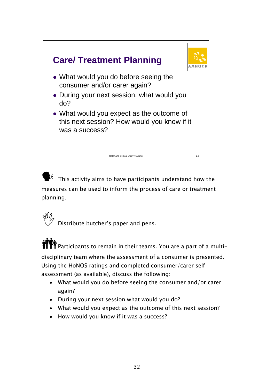

This activity aims to have participants understand how the measures can be used to inform the process of care or treatment planning.

,Distribute butcher's paper and pens.

**TIPE** Participants to remain in their teams. You are a part of a multidisciplinary team where the assessment of a consumer is presented.

Using the HoNOS ratings and completed consumer/carer self assessment (as available), discuss the following:

- What would you do before seeing the consumer and/or carer again?
- During your next session what would you do?
- What would you expect as the outcome of this next session?
- How would you know if it was a success?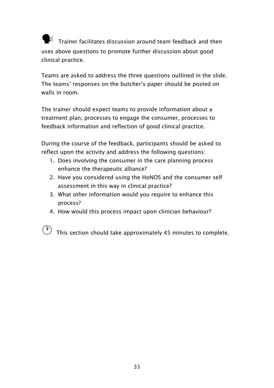$\mathbf{F}^{\leq}$  Trainer facilitates discussion around team feedback and then uses above questions to promote further discussion about good clinical practice.

Teams are asked to address the three questions outlined in the slide. The teams' responses on the butcher's paper should be posted on walls in room.

The trainer should expect teams to provide information about a treatment plan, processes to engage the consumer, processes to feedback information and reflection of good clinical practice.

During the course of the feedback, participants should be asked to reflect upon the activity and address the following questions:

- 1. Does involving the consumer in the care planning process enhance the therapeutic alliance?
- 2. Have you considered using the HoNOS and the consumer self assessment in this way in clinical practice?
- 3. What other information would you require to enhance this process?
- 4. How would this process impact upon clinician behaviour?

This section should take approximately 45 minutes to complete.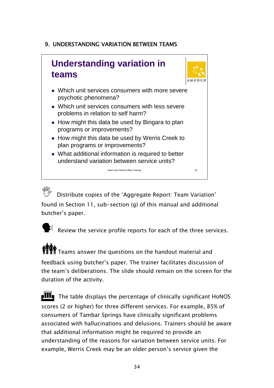# 9. UNDERSTANDING VARIATION BETWEEN TEAMS

# **Understanding variation in teams** • Which unit services consumers with more severe

- psychotic phenomena? • Which unit services consumers with less severe problems in relation to self harm?
- How might this data be used by Bingara to plan programs or improvements?
- How might this data be used by Werris Creek to plan programs or improvements?
- What additional information is required to better understand variation between service units?

Rater and Clinical Utility Training 25

, Distribute copies of the 'Aggregate Report: Team Variation' found in Section 11, sub-section (g) of this manual and additional butcher's paper.

 $\mathbf{F}^2$  Review the service profile reports for each of the three services.

 $\prod_{i=1}^{\infty} T_i$  Teams answer the questions on the handout material and feedback using butcher's paper. The trainer facilitates discussion of the team's deliberations. The slide should remain on the screen for the duration of the activity.

 $\mathbf{H}$  The table displays the percentage of clinically significant HoNOS scores (2 or higher) for three different services. For example, 85% of consumers of Tambar Springs have clinically significant problems associated with hallucinations and delusions. Trainers should be aware that additional information might be required to provide an understanding of the reasons for variation between service units. For example, Werris Creek may be an older person's service given the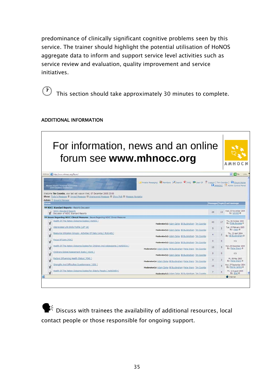predominance of clinically significant cognitive problems seen by this service. The trainer should highlight the potential utilisation of HoNOS aggregate data to inform and support service level activities such as service review and evaluation, quality improvement and service initiatives.

This section should take approximately 30 minutes to complete.

### ADDITIONAL INFORMATION

#### For information, news and an online forum see **www.mhnocc.org** AMHOCN ddress (a) http://www.mhnocc.org/forum/  $\vee$   $\Box$  so the Prinate Messignig **32** Members & Search CLFAQ BRUser CP III Logout [ Tim Coordis ] **CR** Ecount Home ntal Health National Outcomes<br>and Casamix Collection Welcome Tim Coombs, your last vist was on Wed, 07 December 2005 23:00 own Today's Messages 11 Unread Messages 11 Unanswered Messages 11 Show Pols 11 Message Navigator Admin: | Group(s) Manage sages Topics Last message NOCC Standard Reports - Reports Discussion 29 13 Wed, 23 November 2005<br>
By: john63 **BOCC Standard Reports**<br> **Discussion of NOCC Standard Reports** es Regarding NOCC Clinical Measures - Issues Regarding NOCC Clinical Measures Health Of The Nation Outcome Scales ( HoNOS ) Moderator(s): Adam Clarke Bill Buckingham Tim Coombs 43 17 Thu, 66 October 2005 Ω Abbreviated Life Skills Profile (LSP-16) Moderator(s): Adam Clarke Bill Buckingham Tim Coombs 5 2 Tue, 15 February 2005 Resource Utilization Groups - Activities Of Daily Living ( RUG-ADL)  $4$  2 By: Bill Buckingham  $\Phi$ Hoderator(s): Adam Carke Bill Buckingham Tim Coombs Focus Of Care (FOC) Moderator(s): Adam Carke Bill Buckingham Tim Coombs 0 0 0  $n/a$ Health Of The Nation Outcome Scales For Children And Adolescents ( HoNOSCA ) Moderator(s): Adam Clarke Bill Buckingham Peter Brann Tim Coombs 13 5 Mon, 05 December 2005 Q Childrens Global Assessment Scale ( CGAS )  $\label{eq:1} \textbf{Hoderator(s)}; \underline{\text{Adam-Curke}} \ \underline{\text{Bl}\ \text{Euclidean Im Coorels}} \qquad \qquad 0 \qquad \qquad 0$  $n/a$ Eactors Influencing Health Status ( FIHS.) 3 2 Fri, 09 May 2003<br>By: <u>Peter Brann</u> & Hoderator(s): Adam Carke Bill Buckingham Peter Brann Tim Coomba Strengths And Difficulties Questionnaire ( SDO ) 10 5 Mon, 27 September 2004<br>By: Herrie Carling O Moderator(s): Adam Clarke Bill Buckingham Peter Brann Tim Coombs Health Of The Nation Outcome Scales For Elderly People ( HoNOS65+)  $7 - 4$ Fri, 12 August 2005<br>By: Brad O Moderatorfsk Adam Class All Burkansham Tim Coombs Rater and Clinical Utility Training 26 (26 September 26 September 26 September 26 September 26 September 26 Se

 $\blacktriangleright$  Discuss with trainees the availability of additional resources, local contact people or those responsible for ongoing support.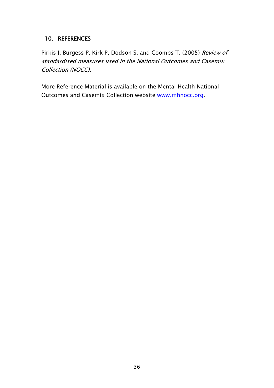## 10. REFERENCES

Pirkis J, Burgess P, Kirk P, Dodson S, and Coombs T. (2005) Review of standardised measures used in the National Outcomes and Casemix Collection (NOCC).

More Reference Material is available on the Mental Health National Outcomes and Casemix Collection website www.mhnocc.org.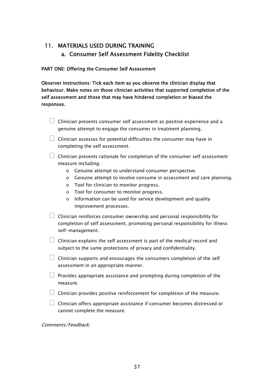## 11. MATERIALS USED DURING TRAINING a. Consumer Self Assessment Fidelity Checklist

#### PART ONE: Offering the Consumer Self Assessment

Observer instructions: Tick each item as you observe the clinician display that behaviour. Make notes on those clinician activities that supported completion of the self assessment and those that may have hindered completion or biased the responses.

| $\Box$ Clinician presents consumer self assessment as positive experience and a |
|---------------------------------------------------------------------------------|
| genuine attempt to engage the consumer in treatment planning.                   |

- $\Box$  Clinician assesses for potential difficulties the consumer may have in completing the self assessment.
- $\Box$  Clinician presents rationale for completion of the consumer self assessment measure including:
	- o Genuine attempt to understand consumer perspective.
	- o Genuine attempt to involve consume in assessment and care planning.
	- o Tool for clinician to monitor progress.
	- o Tool for consumer to monitor progress.
	- o Information can be used for service development and quality improvement processes.
- $\Box$  Clinician reinforces consumer ownership and personal responsibility for completion of self assessment, promoting personal responsibility for illness self-management.
- $\Box$  Clinician explains the self assessment is part of the medical record and subject to the same protections of privacy and confidentiality.
- $\Box$  Clinician supports and encourages the consumers completion of the self assessment in an appropriate manner.
- $\Box$  Provides appropriate assistance and prompting during completion of the measure.
- $\Box$  Clinician provides positive reinforcement for completion of the measure.
- $\Box$  Clinician offers appropriate assistance if consumer becomes distressed or cannot complete the measure.

Comments/Feedback: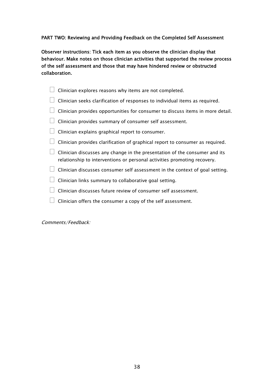#### PART TWO: Reviewing and Providing Feedback on the Completed Self Assessment

Observer instructions: Tick each item as you observe the clinician display that behaviour. Make notes on those clinician activities that supported the review process of the self assessment and those that may have hindered review or obstructed collaboration.

|  |  |  | $\Box$ Clinician explores reasons why items are not completed. |  |
|--|--|--|----------------------------------------------------------------|--|
|--|--|--|----------------------------------------------------------------|--|

- $\Box$  Clinician seeks clarification of responses to individual items as required.
- $\Box$  Clinician provides opportunities for consumer to discuss items in more detail.
- $\Box$  Clinician provides summary of consumer self assessment.
- $\Box$  Clinician explains graphical report to consumer.
- $\Box$  Clinician provides clarification of graphical report to consumer as required.
- $\Box$  Clinician discusses any change in the presentation of the consumer and its relationship to interventions or personal activities promoting recovery.
- $\Box$  Clinician discusses consumer self assessment in the context of goal setting.
- $\Box$  Clinician links summary to collaborative goal setting.
- $\Box$  Clinician discusses future review of consumer self assessment.
- $\Box$  Clinician offers the consumer a copy of the self assessment.

Comments/Feedback: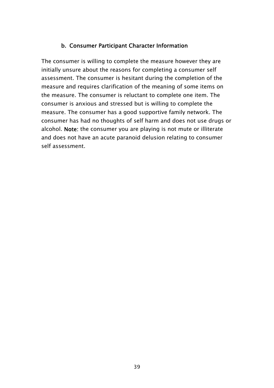## b. Consumer Participant Character Information

The consumer is willing to complete the measure however they are initially unsure about the reasons for completing a consumer self assessment. The consumer is hesitant during the completion of the measure and requires clarification of the meaning of some items on the measure. The consumer is reluctant to complete one item. The consumer is anxious and stressed but is willing to complete the measure. The consumer has a good supportive family network. The consumer has had no thoughts of self harm and does not use drugs or alcohol. Note: the consumer you are playing is not mute or illiterate and does not have an acute paranoid delusion relating to consumer self assessment.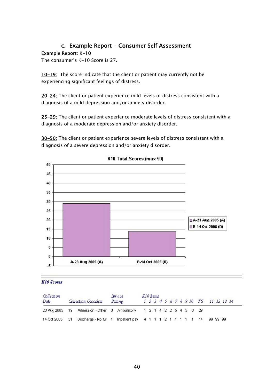### c. Example Report - Consumer Self Assessment Example Report: K-10

The consumer's K-10 Score is 27.

10-19: The score indicate that the client or patient may currently not be experiencing significant feelings of distress.

20-24: The client or patient experience mild levels of distress consistent with a diagnosis of a mild depression and/or anxiety disorder.

25-29: The client or patient experience moderate levels of distress consistent with a diagnosis of a moderate depression and/or anxiety disorder.

30-50: The client or patient experience severe levels of distress consistent with a diagnosis of a severe depression and/or anxiety disorder.



K10 Total Scores (max 50)

#### **K10 Scores**

| Collection |  | Service                                                                            | K <sub>10</sub> Rems |  |  |  |  |  |                                     |  |  |
|------------|--|------------------------------------------------------------------------------------|----------------------|--|--|--|--|--|-------------------------------------|--|--|
| Date       |  | Collection Occasion                                                                | <b>Setting</b>       |  |  |  |  |  | 1 2 3 4 5 6 7 8 9 10 TS 11 12 13 14 |  |  |
|            |  | 23 Aug 2005 19 Admission - Other 3 Ambulatory 1 2 1 4 2 2 5 4 5 3 29               |                      |  |  |  |  |  |                                     |  |  |
|            |  | 14 Oct 2005 31 Discharge - No fur 1 Inpatient psy 4 1 1 1 2 1 1 1 1 1 1 4 99 99 99 |                      |  |  |  |  |  |                                     |  |  |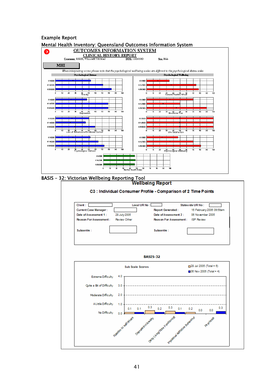#### Example Report

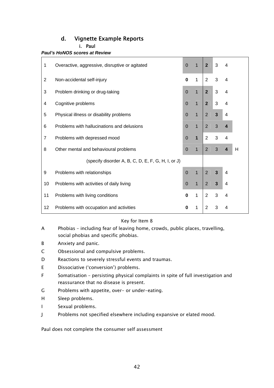## d. Vignette Example Reports

i. Paul

#### *Paul's HoNOS scores at Review*

| $\mathbf{1}$ | Overactive, aggressive, disruptive or agitated     | $\Omega$       | $\mathbf{1}$   | $\overline{2}$ | 3                       | 4                        |   |
|--------------|----------------------------------------------------|----------------|----------------|----------------|-------------------------|--------------------------|---|
| 2            | Non-accidental self-injury                         | $\bf{0}$       | 1              | 2              | 3                       | 4                        |   |
| 3            | Problem drinking or drug-taking                    | $\Omega$       | $\mathbf{1}$   | $\overline{2}$ | 3                       | $\overline{\mathcal{A}}$ |   |
| 4            | Cognitive problems                                 | $\overline{0}$ | $\mathbf{1}$   | $\overline{2}$ | 3                       | 4                        |   |
| 5            | Physical illness or disability problems            | $\overline{0}$ | $\overline{1}$ | $\overline{2}$ | $\overline{3}$          | $\overline{\mathcal{A}}$ |   |
| 6            | Problems with hallucinations and delusions         | $\overline{0}$ | $\overline{1}$ | $\overline{2}$ | 3                       | $\overline{\mathbf{4}}$  |   |
| 7            | Problems with depressed mood                       | $\mathbf 0$    | $\mathbf{1}$   | 2              | 3                       | $\overline{4}$           |   |
| 8            | Other mental and behavioural problems              | $\mathbf 0$    | $\mathbf{1}$   | 2              | 3                       | $\overline{4}$           | H |
|              | (specify disorder A, B, C, D, E, F, G, H, I, or J) |                |                |                |                         |                          |   |
| 9            | Problems with relationships                        | $\overline{0}$ | $\overline{1}$ | $\overline{2}$ | 3                       | $\overline{4}$           |   |
| 10           | Problems with activities of daily living           |                |                | $\overline{2}$ | $\overline{\mathbf{3}}$ | 4                        |   |
| 11           | Problems with living conditions                    | $\bf{0}$       | 1              | 2              | 3                       | 4                        |   |
| 12           | Problems with occupation and activities            | 0              | 1              | 2              | 3                       | 4                        |   |

#### Key for Item 8

- A Phobias including fear of leaving home, crowds, public places, travelling, social phobias and specific phobias.
- B Anxiety and panic.
- C Obsessional and compulsive problems.
- D Reactions to severely stressful events and traumas.
- E Dissociative ('conversion') problems.
- F Somatisation persisting physical complaints in spite of full investigation and reassurance that no disease is present.
- G Problems with appetite, over- or under-eating.
- H Sleep problems.
- I Sexual problems.
- J Problems not specified elsewhere including expansive or elated mood.

Paul does not complete the consumer self assessment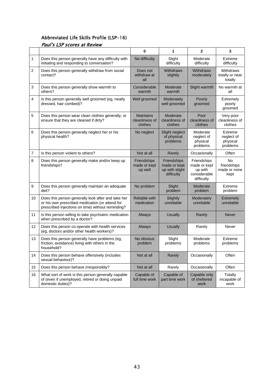### Abbreviated Life Skills Profile (LSP-16)

| Paul's LSP scores at Review |  |  |  |
|-----------------------------|--|--|--|
|-----------------------------|--|--|--|

|                |                                                                                                                                                            | 0                                             | 1                                                           | $\mathbf{2}$                                                         | 3                                             |  |  |
|----------------|------------------------------------------------------------------------------------------------------------------------------------------------------------|-----------------------------------------------|-------------------------------------------------------------|----------------------------------------------------------------------|-----------------------------------------------|--|--|
| 1              | Does this person generally have any difficulty with<br>initiating and responding to conversation?                                                          | No difficulty                                 | Slight<br>difficulty                                        | Moderate<br>difficulty                                               | Extreme<br>difficulty                         |  |  |
| $\overline{2}$ | Does this person generally withdraw from social<br>contact?                                                                                                | Does not<br>withdraw at<br>all                | Withdraws<br>slightly                                       | <b>Withdraws</b><br>moderately                                       | Withdraws<br>totally or near<br>totally       |  |  |
| 3              | Does this person generally show warmth to<br>others?                                                                                                       | Considerable<br>warmth                        | Moderate<br>warmth                                          | Slight warmth                                                        | No warmth at<br>all                           |  |  |
| 4              | Is this person generally well groomed (eg, neatly<br>dressed, hair combed)?                                                                                | Well groomed                                  | Moderately<br>well groomed                                  | Poorly<br>groomed                                                    | Extremely<br>poorly<br>groomed                |  |  |
| 5              | Does this person wear clean clothes generally, or<br>ensure that they are cleaned if dirty?                                                                | <b>Maintains</b><br>cleanliness of<br>clothes | Moderate<br>cleanliness of<br>clothes                       | Poor<br>cleanliness of<br>clothes                                    | Very poor<br>cleanliness of<br>clothes        |  |  |
| 6              | Does this person generally neglect her or his<br>physical health?                                                                                          | No neglect                                    | Slight neglect<br>of physical<br>problems                   | Moderate<br>neglect of<br>physical<br>problems                       | Extreme<br>neglect of<br>physical<br>problems |  |  |
| $\overline{7}$ | Is this person violent to others?                                                                                                                          | Not at all                                    | Rarely                                                      | Occasionally                                                         | Often                                         |  |  |
| 8              | Does this person generally make and/or keep up<br>friendships?                                                                                             | Friendships<br>made or kept<br>up well        | Friendships<br>made or kept<br>up with slight<br>difficulty | Friendships<br>made or kept<br>up with<br>considerable<br>difficulty | No<br>friendships<br>made or none<br>kept     |  |  |
| 9              | Does this person generally maintain an adequate<br>diet?                                                                                                   | No problem                                    | Slight<br>problem                                           | Moderate<br>problem                                                  | Extreme<br>problem                            |  |  |
| 10             | Does this person generally look after and take her<br>or his own prescribed medication (or attend for<br>prescribed injections on time) without reminding? | <b>Reliable with</b><br>medication            | Slightly<br>unreliable                                      | Moderately<br>unreliable                                             | Extremely<br>unreliable                       |  |  |
| 11             | Is this person willing to take psychiatric medication<br>when prescribed by a doctor?                                                                      | Always                                        | <b>Usually</b>                                              | Rarely                                                               | <b>Never</b>                                  |  |  |
| 12             | Does this person co-operate with health services<br>(eg, doctors and/or other health workers)?                                                             | Always                                        | <b>Usually</b>                                              | Rarely                                                               | Never                                         |  |  |
| 13             | Does this person generally have problems (eg,<br>friction, avoidance) living with others in the<br>household?                                              | No obvious<br>problem                         | Slight<br>problems                                          | Moderate<br>problems                                                 | Extreme<br>problems                           |  |  |
| 14             | Does this person behave offensively (includes<br>sexual behaviour)?                                                                                        | Not at all                                    | Rarely                                                      | Occasionally                                                         | Often                                         |  |  |
| 15             | Does this person behave irresponsibly?                                                                                                                     | Not at all                                    | Rarely                                                      | Occasionally                                                         | Often                                         |  |  |
| 16             | What sort of work is this person generally capable<br>of (even if unemployed, retired or doing unpaid<br>domestic duties)?                                 | Capable of<br>full time work                  | Capable of<br>part time work                                | Capable only<br>of sheltered<br>work                                 | Totally<br>incapable of<br>work               |  |  |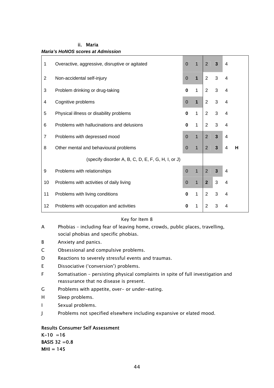| 1              | Overactive, aggressive, disruptive or agitated     | $\Omega$       | $\mathbf{1}$   | $\overline{2}$ | $\overline{3}$ | 4 |   |  |
|----------------|----------------------------------------------------|----------------|----------------|----------------|----------------|---|---|--|
| $\overline{2}$ | Non-accidental self-injury                         | $\overline{0}$ | $\overline{1}$ | $\overline{2}$ | 3              | 4 |   |  |
| 3              | Problem drinking or drug-taking                    | $\mathbf 0$    | $\mathbf{1}$   | 2              | 3              | 4 |   |  |
| 4              | Cognitive problems                                 | $\overline{0}$ | $\overline{1}$ | $\overline{2}$ | 3              | 4 |   |  |
| 5              | Physical illness or disability problems            | $\bf{0}$       | $\mathbf{1}$   | $\overline{2}$ | 3              | 4 |   |  |
| 6              | Problems with hallucinations and delusions         | $\bf{0}$       | $\mathbf{1}$   | 2              | 3              | 4 |   |  |
| $\overline{7}$ | Problems with depressed mood                       | $\overline{0}$ | $\overline{1}$ | $\overline{2}$ | $\overline{3}$ | 4 |   |  |
| 8              | Other mental and behavioural problems              | $\overline{0}$ | $\mathbf{1}$   | 2              | $\mathbf{3}$   | 4 | н |  |
|                | (specify disorder A, B, C, D, E, F, G, H, I, or J) |                |                |                |                |   |   |  |
| 9              | Problems with relationships                        | $\overline{0}$ | $\overline{1}$ | $\overline{2}$ | 3              | 4 |   |  |
| 10             | Problems with activities of daily living           | $\overline{0}$ | $\mathbf{1}$   | $\overline{2}$ | 3              | 4 |   |  |
| 11             | Problems with living conditions                    | $\bf{0}$       | $\mathbf{1}$   | 2              | 3              | 4 |   |  |
| 12             | Problems with occupation and activities            | 0              | 1              | $\overline{2}$ | 3              | 4 |   |  |

#### ii. Maria *Maria's HoNOS scores at Admission*

#### Key for Item 8

- A Phobias including fear of leaving home, crowds, public places, travelling, social phobias and specific phobias.
- B Anxiety and panics.
- C Obsessional and compulsive problems.
- D Reactions to severely stressful events and traumas.
- E Dissociative ('conversion') problems.
- F Somatisation persisting physical complaints in spite of full investigation and reassurance that no disease is present.
- G Problems with appetite, over- or under-eating.
- H Sleep problems.
- I Sexual problems.
- J Problems not specified elsewhere including expansive or elated mood.

### Results Consumer Self Assessment

 $K-10 = 16$ **BASIS 32 = 0.8**  $MHI = 145$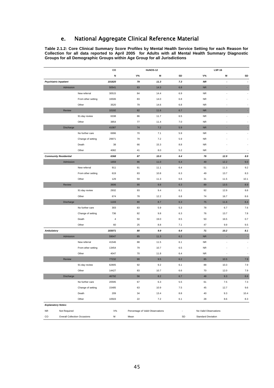## e. National Aggregate Clinical Reference Material

**Table 2.1.2: Core Clinical Summary Score Profiles by Mental Health Service Setting for each Reason for Collection for all data reported to April 2005 for Adults with all Mental Health Summary Diagnostic Groups for all Demographic Groups within Age Group for all Jurisdictions** 

|                              |                                     |                    | co     |                                  | <b>HoNOS-12</b> |     |                           | <b>LSP-16</b> |                          |
|------------------------------|-------------------------------------|--------------------|--------|----------------------------------|-----------------|-----|---------------------------|---------------|--------------------------|
|                              |                                     |                    | Ν      | <b>V%</b>                        | M               | SD  | $V\%$                     | M             | SD                       |
| <b>Psychiatric Inpatient</b> |                                     |                    | 101820 | 79                               | 11.3            | 7.3 | <b>NR</b>                 | ÷,            | $\blacksquare$           |
|                              | Admission                           |                    | 50541  | 83                               | 14.3            | 6.8 | ${\sf NR}$                | ٠             | ٠                        |
|                              |                                     | New referral       | 30515  | 84                               | 14.4            | 6.9 | <b>NR</b>                 | ä,            | ÷.                       |
|                              |                                     | From other setting | 16506  | 83                               | 14.0            | 6.8 | NR.                       |               | $\overline{\phantom{a}}$ |
|                              |                                     | Other              | 3520   | 79                               | 14.6            | 6.8 | <b>NR</b>                 |               | $\overline{\phantom{a}}$ |
|                              | Review                              |                    | 10192  | 82                               | 11.6            | 6.7 | ${\sf NR}$                | ٠             | ×.                       |
|                              |                                     | 91-day review      | 6338   | 86                               | 11.7            | 6.5 | <b>NR</b>                 | ä,            | ÷.                       |
|                              |                                     | Other              | 3854   | 77                               | 11.4            | 7.0 | <b>NR</b>                 |               | $\overline{\phantom{a}}$ |
|                              | Discharge                           |                    | 41087  | 74                               | 7.2             | 5.9 | ${\sf NR}$                | ×             | ÷                        |
|                              |                                     | No further care    | 6996   | 70                               | 7.1             | 5.9 | <b>NR</b>                 | ä,            | $\sim$                   |
|                              |                                     | Change of setting  | 29971  | 79                               | 7.2             | 5.9 | <b>NR</b>                 |               | ٠                        |
|                              |                                     | Death              | 38     | 66                               | 15.3            | 8.8 | <b>NR</b>                 |               |                          |
|                              |                                     | Other              | 4082   | 41                               | 8.0             | 5.2 | <b>NR</b>                 |               | ٠                        |
|                              | <b>Community Residential</b>        |                    | 6368   | 87                               | 10.0            | 6.4 | 76                        | 12.9          | 8.9                      |
|                              | Admission                           |                    | 1659   | 86                               | 11.0            | 6.4 | 49                        | 12.2          | 9.0                      |
|                              |                                     | New referral       | 911    | 91                               | 11.1            | 6.4 | 51                        | 11.3          | 9.2                      |
|                              |                                     | From other setting | 619    | 83                               | 10.8            | 6.3 | 49                        | 13.7          | 8.3                      |
|                              |                                     | Other              | 129    | 59                               | 11.3            | 6.6 | 31                        | 11.5          | 10.1                     |
|                              | Review                              |                    | 3606   | 90                               | 9.8             | 6.3 | 89                        | 13.5          | 8.9                      |
|                              |                                     | 91-day review      | 2932   | 93                               | 9.4             | 6.1 | 92                        | 12.9          | 8.8                      |
|                              |                                     | Other              | 674    | 78                               | 12.2            | 6.8 | 74                        | 16.7          | 8.6                      |
|                              | Discharge                           |                    | 1103   | 80                               | 8.7             | 6.3 | 75                        | 11.6          | 8.4                      |
|                              |                                     | No further care    | 303    | 83                               | 5.9             | 5.3 | 78                        | 6.7           | 7.6                      |
|                              |                                     | Change of setting  | 736    | 82                               | 9.8             | 6.3 | 76                        | 13.7          | 7.8                      |
|                              |                                     | Death              | 4      | 50                               | 19.0            | 8.5 | 50                        | 16.5          | 0.7                      |
|                              |                                     | Other              | 60     | 25                               | 8.8             | 7.1 | 47                        | 9.9           | 9.5                      |
| <b>Ambulatory</b>            |                                     |                    | 183071 | 80                               | 9.9             | 6.4 | 71                        | 10.2          | 8.1                      |
|                              | Admission                           |                    | 59047  | 85                               | 11.3            | 6.2 | <b>NR</b>                 | ×.            | ÷.                       |
|                              |                                     | New referral       | 41546  | 88                               | 11.5            | 6.1 | <b>NR</b>                 |               | $\overline{\phantom{a}}$ |
|                              |                                     | From other setting | 13454  | 79                               | 10.7            | 6.5 | <b>NR</b>                 |               | $\overline{\phantom{a}}$ |
|                              |                                     | Other              | 4047   | 70                               | 11.8            | 6.4 | <b>NR</b>                 | ä,            | $\overline{\phantom{a}}$ |
|                              | Review                              |                    | 77232  | 90                               | 9.5             | 6.2 | 85                        | 10.5          | 7.9                      |
|                              |                                     | 91-day review      | 62805  | 92                               | 9.2             | 6.1 | 88                        | 10.3          | 7.9                      |
|                              |                                     | Other              | 14427  | 83                               | 10.7            | 6.6 | 70                        | 12.0          | 7.9                      |
|                              | Discharge                           |                    | 46792  | 56                               | 8.2             | 6.7 | 48                        | 9.3           | 8.6                      |
|                              |                                     | No further care    | 20595  | 67                               | 6.3             | 5.5 | 61                        | 7.5           | 7.3                      |
|                              |                                     | Change of setting  | 15485  | 63                               | 10.9            | 7.5 | 45                        | 12.7          | 9.6                      |
|                              |                                     | Death              | 209    | 34                               | 13.4            | 8.8 | 40                        | 9.3           | 10.4                     |
|                              |                                     | Other              | 10503  | 22                               | 7.2             | 6.1 | 28                        | 8.6           | 8.3                      |
| <b>Explanatory Notes:</b>    |                                     |                    |        |                                  |                 |     |                           |               |                          |
| <b>NR</b>                    | Not Required                        |                    | $V\%$  | Percentage of Valid Observations |                 | ÷,  | No Valid Observations     |               |                          |
| $_{\rm CO}$                  | <b>Overall Collection Occasions</b> |                    | М      | Mean                             |                 | SD  | <b>Standard Deviation</b> |               |                          |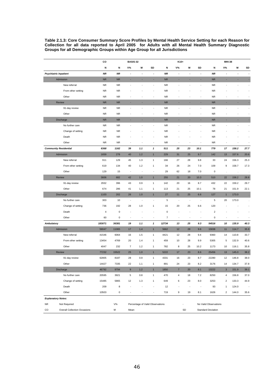**Table 2.1.3: Core Consumer Summary Score Profiles by Mental Health Service Setting for each Reason for Collection for all data reported to April 2005 for Adults with all Mental Health Summary Diagnostic Groups for all Demographic Groups within Age Group for all Jurisdictions** 

|                   |                                     | co             |             | <b>BASIS-32</b>          |                                  |                          |           |                          | K10+                     |                          | <b>MHI-38</b>             |                         |                          |                          |
|-------------------|-------------------------------------|----------------|-------------|--------------------------|----------------------------------|--------------------------|-----------|--------------------------|--------------------------|--------------------------|---------------------------|-------------------------|--------------------------|--------------------------|
|                   |                                     | N              | N           | <b>V%</b>                | M                                | SD                       | N         | V%                       | M                        | SD                       | N                         | $V\%$                   | M                        | SD                       |
|                   | <b>Psychiatric Inpatient</b>        | <b>NR</b>      | <b>NR</b>   | $\blacksquare$           | $\ddot{\phantom{0}}$             | $\overline{a}$           | <b>NR</b> | $\overline{\phantom{a}}$ | $\overline{\phantom{a}}$ | $\overline{a}$           | <b>NR</b>                 | $\overline{a}$          | $\overline{\phantom{a}}$ | $\overline{\phantom{a}}$ |
|                   | Admission                           | ${\sf NR}$     | <b>NR</b>   | ٠                        | ٠                                | ٠                        | <b>NR</b> | ٠                        | ٠                        | ٠                        | <b>NR</b>                 | ٠                       | ٠                        | ٠                        |
|                   | New referral                        | <b>NR</b>      | <b>NR</b>   | ÷,                       | ä,                               | ä,                       | <b>NR</b> | ÷.                       | J.                       | ÷,                       | <b>NR</b>                 | ÷,                      | ä,                       | $\overline{\phantom{a}}$ |
|                   | From other setting                  | NR             | <b>NR</b>   |                          |                                  |                          | <b>NR</b> |                          |                          |                          | <b>NR</b>                 |                         |                          | $\overline{\phantom{a}}$ |
|                   | Other                               | <b>NR</b>      | <b>NR</b>   |                          |                                  | ä,                       | <b>NR</b> |                          |                          | ä,                       | <b>NR</b>                 | ٠                       |                          | $\overline{\phantom{a}}$ |
|                   | Review                              | ${\sf NR}$     | <b>NR</b>   |                          |                                  | ٠                        | <b>NR</b> |                          |                          |                          | <b>NR</b>                 | ٠                       |                          | ×.                       |
|                   | 91-day review                       | <b>NR</b>      | <b>NR</b>   |                          |                                  | ÷,                       | <b>NR</b> |                          |                          |                          | <b>NR</b>                 | Ĭ.                      |                          | $\overline{\phantom{a}}$ |
|                   | Other                               | <b>NR</b>      | <b>NR</b>   |                          |                                  | $\overline{\phantom{m}}$ | <b>NR</b> |                          |                          | ٠                        | <b>NR</b>                 | ä,                      | ٠                        | $\overline{\phantom{a}}$ |
|                   | Discharge                           | ${\sf NR}$     | <b>NR</b>   | ٠                        |                                  | ٠                        | <b>NR</b> |                          |                          | ×,                       | <b>NR</b>                 | ä,                      | ٠                        | ٠                        |
|                   | No further care                     | <b>NR</b>      | <b>NR</b>   |                          |                                  | ÷,                       | <b>NR</b> |                          |                          |                          | <b>NR</b>                 |                         | ٠                        | $\overline{\phantom{a}}$ |
|                   | Change of setting                   | <b>NR</b>      | <b>NR</b>   |                          |                                  |                          | <b>NR</b> |                          |                          |                          | <b>NR</b>                 |                         |                          | $\overline{\phantom{a}}$ |
|                   | Death                               | <b>NR</b>      | <b>NR</b>   |                          |                                  |                          | <b>NR</b> |                          |                          |                          | <b>NR</b>                 |                         |                          | J.                       |
|                   | Other                               | <b>NR</b>      | <b>NR</b>   |                          |                                  | ÷,                       | <b>NR</b> |                          |                          | Ĭ.                       | <b>NR</b>                 |                         |                          |                          |
|                   | <b>Community Residential</b>        | 6368           | 1162        | 39                       | 1.1                              | $\mathbf{1}$             | 511       | 25                       | 23                       | 10.1                     | 779                       | 17                      | 158.2                    | 27.7                     |
|                   | Admission                           | 1659           | 278         | 40                       | 1.2                              | $\mathbf{1}$             | 229       | 31                       | 25                       | 9.7                      | 142                       | 13                      | 157.6                    | 20.6                     |
|                   | New referral                        | 911            | 129         | 45                       | 1.3                              | $\mathbf{1}$             | 166       | 27                       | 28                       | 9.8                      | 33                        | 24                      | 156.3                    | 25.3                     |
|                   | From other setting                  | 619            | 134         | 40                       | 1.2                              | 1                        | 34        | 26                       | 24                       | 7.0                      | 109                       | 9                       | 158.7                    | 17.3                     |
|                   | Other                               | 129            | 15          | $\overline{\phantom{a}}$ | ÷,                               | ä,                       | 29        | 62                       | 18                       | 7.0                      | $\mathsf 0$               | $\cdot$                 | $\cdot$                  | ×                        |
|                   | Review                              | 3606           | 682         | 42                       | 1.0                              | $\mathbf{1}$             | 255       | 21                       | 20                       | 10.3                     | 510                       | 22                      | 158.2                    | 28.8                     |
|                   | 91-day review                       | 2932           | 396         | 43                       | 0.9                              | $\mathbf{1}$             | 142       | 20                       | 16                       | 8.7                      | 432                       | 22                      | 159.2                    | 29.7                     |
|                   | Other                               | 674            | 286         | 41                       | 1.1                              | 1                        | 113       | 21                       | 25                       | 10.1                     | 78                        | 21                      | 151.9                    | 22.1                     |
|                   | Discharge                           | 1103           | 202         | 26                       | 1.0                              | $\mathbf{1}$             | 27        | 11                       | 25                       | 6.6                      | 127                       | $\mathbf{1}$            | 173.0                    | ×                        |
|                   | No further care                     | 303            | 10          | ÷,                       | J.                               | ä,                       | 5         | ÷,                       | ä,                       | ÷,                       | 5                         | 20                      | 173.0                    | ÷.                       |
|                   | Change of setting                   | 736            | 192         | 28                       | 1.0                              | 1                        | 15        | 20                       | 25                       | 6.6                      | 120                       |                         |                          | ÷,                       |
|                   | Death                               | $\overline{4}$ | $\mathbf 0$ |                          |                                  |                          | 0         |                          |                          |                          | $\overline{c}$            |                         |                          | Ĭ.                       |
|                   | Other                               | 60             | $\pmb{0}$   | ٠                        | ٠                                | ٠                        | 7         | ٠                        | ٠                        | ٠                        | 0                         | ٠                       | ٠                        | J.                       |
| <b>Ambulatory</b> |                                     | 183071         | 36381       | 19                       | 1.1                              | $\mathbf{1}$             | 12734     | 13                       | 25                       | 9.3                      | 54516                     | 10                      | 135.9                    | 40.3                     |
|                   | Admission                           | 59047          | 11065       | 17                       | 1.4                              | $\mathbf{1}$             | 5662      | 12                       | 28                       | 9.6                      | 15838                     | 11                      | 114.7                    | 35.9                     |
|                   | New referral                        | 41546          | 6064        | 16                       | 1.5                              | 1                        | 4421      | 12                       | 28                       | 9.4                      | 9360                      | 14                      | 110.8                    | 33.7                     |
|                   | From other setting                  | 13454          | 4769        | 20                       | 1.4                              | 1                        | 459       | 10                       | 28                       | 9.9                      | 5305                      | 5                       | 132.9                    | 40.6                     |
|                   | Other                               | 4047           | 232         | $\overline{7}$           | 1.2                              | 1                        | 782       | 8                        | 25                       | 10.2                     | 1173                      | 10                      | 116.1                    | 35.8                     |
|                   | Review                              | 77232          | 15522       | 25                       | 1.0                              | $\mathbf{1}$             | 5222      | 17                       | 23                       | 8.6                      | 25456                     | 13                      | 145.0                    | 38.2                     |
|                   | 91-day review                       | 62805          | 8187        | 28                       | 0.9                              | 1                        | 4331      | 16                       | 23                       | 8.7                      | 22280                     | 12                      | 146.8                    | 38.0                     |
|                   | Other                               | 14427          | 7335        | 22                       | 1.1                              | 1                        | 891       | 24                       | 23                       | 8.2                      | 3176                      | 14                      | 134.7                    | 37.8                     |
|                   | Discharge                           | 46792          | 9794        | $\overline{9}$           | 1.2                              | $\mathbf{1}$             | 1850      | $\overline{7}$           | 20                       | 8.1                      | 13222                     | $\mathbf{3}$            | 151.9                    | 39.1                     |
|                   | No further care                     | 20595          | 3921        | 5                        | 0.8                              | $\mathbf{1}$             | 470       | 4                        | 18                       | 7.2                      | 8250                      | 4                       | 156.8                    | 37.0                     |
|                   | Change of setting                   | 15485          | 5865        | 12                       | 1.3                              | 1                        | 649       | 6                        | 23                       | 8.0                      | 3253                      | $\overline{\mathbf{c}}$ | 133.3                    | 44.9                     |
|                   | Death                               | 209            | 8           | ÷,                       | $\overline{\phantom{a}}$         | ٠                        | 12        | ä,                       | ÷,                       | $\overline{\phantom{a}}$ | 93                        | 1                       | 124.0                    | ÷,                       |
|                   | Other                               | 10503          | $\mathbf 0$ | $\overline{\phantom{a}}$ | $\overline{\phantom{a}}$         | $\overline{\phantom{a}}$ | 719       | 9                        | 19                       | 8.1                      | 1626                      | $\overline{\mathbf{c}}$ | 144.0                    | 35.6                     |
|                   | <b>Explanatory Notes:</b>           |                |             |                          |                                  |                          |           |                          |                          |                          |                           |                         |                          |                          |
| <b>NR</b>         | Not Required                        |                | V%          |                          | Percentage of Valid Observations |                          |           | ä,                       |                          |                          | No Valid Observations     |                         |                          |                          |
| $_{\rm CO}$       | <b>Overall Collection Occasions</b> |                | М           | Mean                     |                                  |                          |           |                          | SD                       |                          | <b>Standard Deviation</b> |                         |                          |                          |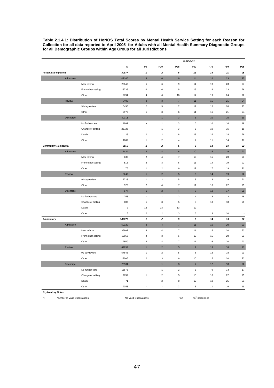**Table 2.1.4.1: Distribution of HoNOS Total Scores by Mental Health Service Setting for each Reason for Collection for all data reported to April 2005 for Adults with all Mental Health Summary Diagnostic Groups for all Demographic Groups within Age Group for all Jurisdictions** 

|                              |                              |                    |                |                          |                           |                          | HoNOS-12         |                              |     |         |
|------------------------------|------------------------------|--------------------|----------------|--------------------------|---------------------------|--------------------------|------------------|------------------------------|-----|---------|
|                              |                              |                    | N              | P <sub>5</sub>           | P10                       | P <sub>25</sub>          | P50              | P75                          | P90 | P95     |
| <b>Psychiatric Inpatient</b> |                              |                    | 80877          | $\mathbf{1}$             | $\boldsymbol{2}$          | 6                        | 11               | 16                           | 21  | 25      |
|                              | Admission                    |                    | 42166          | $\overline{\mathbf{4}}$  | $\bf 6$                   | $\boldsymbol{9}$         | 14               | 18                           | 23  | 27      |
|                              |                              | New referral       | 25640          | $\,$ 5 $\,$              | $\boldsymbol{6}$          | 9                        | 14               | 19                           | 23  | 27      |
|                              |                              | From other setting | 13735          | $\overline{\mathbf{4}}$  | 6                         | 9                        | 13               | 18                           | 23  | 26      |
|                              |                              | Other              | 2791           | $\overline{4}$           | 6                         | 10                       | 14               | 19                           | 24  | 26      |
|                              | Review                       |                    | 8400           | $\sqrt{2}$               | $\mathsf 3$               | $\overline{7}$           | 11               | 16                           | 21  | 24      |
|                              |                              | 91-day review      | 5430           | $\overline{2}$           | $\ensuremath{\mathsf{3}}$ | $\overline{\mathbf{r}}$  | 11               | 15                           | 20  | 23      |
|                              |                              | Other              | 2970           | $\mathbf{1}$             | $\mathbf 3$               | 6                        | 11               | 16                           | 21  | 24      |
|                              | Discharge                    |                    | 30311          |                          | $\mathbf{1}$              | $\mathsf 3$              | $6\phantom{.}6$  | 10                           | 15  | 19      |
|                              |                              | No further care    | 4889           | $\overline{\phantom{a}}$ | $\mathbf{1}$              | 3                        | 6                | 10                           | 16  | 19      |
|                              |                              | Change of setting  | 23728          | J.                       | $\mathbf{1}$              | 3                        | 6                | 10                           | 15  | 19      |
|                              |                              | Death              | 25             | $\mathbf 0$              | $\sqrt{2}$                | 8                        | 18               | 22                           | 28  | 28      |
|                              |                              | Other              | 1669           | $\mathbf{1}$             | $\mathbf 2$               | $\sqrt{4}$               | $\overline{7}$   | 11                           | 14  | 17      |
| <b>Community Residential</b> |                              |                    | 5550           | $\pmb{\mathcal{I}}$      | $\overline{2}$            | 5                        | $\mathfrak g$    | 14                           | 19  | 22      |
|                              | Admission                    |                    | 1424           | $\overline{2}$           | $\overline{4}$            | $6\phantom{a}$           | 10               | 15                           | 19  | 23      |
|                              |                              | New referral       | 832            | $\overline{2}$           | $\overline{4}$            | $\overline{7}$           | 10               | 15                           | 20  | 23      |
|                              |                              | From other setting | 516            | $\overline{2}$           | $\mathbf 3$               | 6                        | 11               | 14                           | 19  | 22      |
|                              |                              | Other              | 76             | $\mathbf{1}$             | $\overline{2}$            | 6                        | 12               | 17                           | 19  | 22      |
|                              | Review                       |                    | 3249           | $\mathbf{1}$             | $\overline{2}$            | $5\overline{5}$          | $\overline{9}$   | 14                           | 19  | 22      |
|                              |                              | 91-day review      | 2723           | $\mathbf{1}$             | $\overline{2}$            | 5                        | $\bf8$           | 13                           | 18  | 21      |
|                              |                              | Other              | 526            | $\sqrt{2}$               | $\overline{4}$            | $\overline{7}$           | 11               | 16                           | 22  | 25      |
|                              | Discharge                    |                    | 877            | $\overline{1}$           | $\overline{2}$            | $\overline{4}$           | $\bf{8}$         | 12                           | 17  | 21      |
|                              |                              | No further care    | 253            | ÷,                       | $\mathbf{1}$              | $\mathbf 2$              | $\overline{4}$   | 8                            | 13  | 18      |
|                              |                              | Change of setting  | 607            | $\mathbf{1}$             | $\mathbf 3$               | $\mathbf 5$              | $\mathsf g$      | 13                           | 18  | 21      |
|                              |                              | Death              | $\overline{2}$ | 13                       | 13                        | 13                       | 19               | Ĭ.                           | J,  | Ĭ.      |
|                              |                              | Other              | 15             | $\mathbf 2$              | $\sqrt{2}$                | 3                        | $\,6\,$          | 13                           | 20  | $\cdot$ |
| <b>Ambulatory</b>            |                              |                    | 146073         | 1                        | $\mathbf{z}$              | 5                        | $\boldsymbol{9}$ | 14                           | 19  | 22      |
|                              | Admission                    |                    | 50120          | $\sqrt{2}$               | $\overline{4}$            | $\overline{\mathbf{7}}$  | 11               | 15                           | 20  | $23\,$  |
|                              |                              | New referral       | 36607          | $\mathbf{3}$             | $\sqrt{4}$                | $\overline{\mathcal{I}}$ | 11               | 15                           | 20  | 23      |
|                              |                              | From other setting | 10663          | $\sqrt{2}$               | 3                         | 6                        | 10               | 15                           | 20  | 23      |
|                              |                              | Other              | 2850           | $\sqrt{2}$               | $\sqrt{4}$                | $\overline{\mathcal{I}}$ | 11               | 16                           | 20  | 23      |
|                              | Review                       |                    | 69852          | $\mathbf{1}$             | $\overline{2}$            | $\overline{5}$           | $\mathsf g$      | 13                           | 18  | 21      |
|                              |                              | 91-day review      | 57846          | $\mathbf{1}$             | $\sqrt{2}$                | 5                        | 8                | 13                           | 18  | 21      |
|                              |                              | Other              | 12006          | $\mathbf 2$              | $\ensuremath{\mathsf{3}}$ | 6                        | 10               | 15                           | 20  | 23      |
|                              | Discharge                    |                    | 26101          |                          | $\mathbf{1}$              | $\mathsf 3$              | $\overline{7}$   | 12                           | 18  | 22      |
|                              |                              | No further care    | 13873          | ÷,                       | $\mathbf{1}$              | $\overline{c}$           | 5                | 9                            | 14  | 17      |
|                              |                              | Change of setting  | 9799           | $\mathbf{1}$             | $\boldsymbol{2}$          | $\mathbf 5$              | 10               | 16                           | 22  | 25      |
|                              |                              | Death              | 71             |                          | $\mathbf 2$               | 8                        | 12               | 18                           | 25  | 33      |
|                              |                              | Other              | 2358           |                          | $\overline{\phantom{a}}$  | $\overline{2}$           | $\,6\,$          | 11                           | 16  | 19      |
| <b>Explanatory Notes:</b>    |                              |                    |                |                          |                           |                          |                  |                              |     |         |
| N                            | Number of Valid Observations |                    |                | No Valid Observations    |                           |                          | Pnn              | nn <sup>th</sup> percentiles |     |         |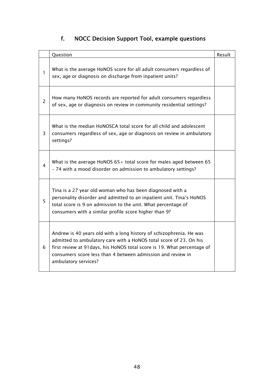# f. NOCC Decision Support Tool, example questions

|                | Question                                                                                                                                                                                                                                                                                                     | Result |
|----------------|--------------------------------------------------------------------------------------------------------------------------------------------------------------------------------------------------------------------------------------------------------------------------------------------------------------|--------|
| 1              | What is the average HoNOS score for all adult consumers regardless of<br>sex, age or diagnosis on discharge from inpatient units?                                                                                                                                                                            |        |
| $\overline{2}$ | How many HoNOS records are reported for adult consumers regardless<br>of sex, age or diagnosis on review in community residential settings?                                                                                                                                                                  |        |
| $\overline{3}$ | What is the median HoNOSCA total score for all child and adolescent<br>consumers regardless of sex, age or diagnosis on review in ambulatory<br>settings?                                                                                                                                                    |        |
| 4              | What is the average HoNOS $65+$ total score for males aged between 65<br>- 74 with a mood disorder on admission to ambulatory settings?                                                                                                                                                                      |        |
| 5              | Tina is a 27 year old woman who has been diagnosed with a<br>personality disorder and admitted to an inpatient unit. Tina's HoNOS<br>total score is 9 on admission to the unit. What percentage of<br>consumers with a similar profile score higher than 9?                                                  |        |
| 6              | Andrew is 40 years old with a long history of schizophrenia. He was<br>admitted to ambulatory care with a HoNOS total score of 23. On his<br>first review at 91 days, his HoNOS total score is 19. What percentage of<br>consumers score less than 4 between admission and review in<br>ambulatory services? |        |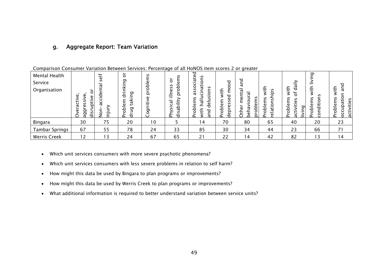## g. Aggregate Report: Team Variation

| Mental Health<br>Service<br>Organisation | Φ<br>ω<br>÷<br>ٮ<br>$\sigma$<br>Ō<br>ರ<br>ದ | self<br>ದ<br><u>Ξ</u> | ŏ<br>ה<br>$\overline{\phantom{0}}$<br>তা<br>ರ<br>ದ<br>ω<br>Q<br>তা<br>$\circ$<br>ರ<br>$\sim$ | n<br>Φ<br>Q<br>◘<br>G)<br>پ<br>তা | n<br>$\circ$<br>n<br>å<br>S<br>$\Omega$<br>$\overline{\phantom{0}}$<br>ದ<br>—<br>ں<br>좀<br>$\overline{\phantom{0}}$<br>ರ | ᠊ᠣ<br>ate<br>n<br>._<br>ں<br>ಸ<br>o<br>n<br>S<br>S<br>ಗ<br>n<br>노<br>ದ<br>$\mathbf \omega$<br>Φ<br>Рo<br>ರ<br>௨ | ᠊ᠣ<br>Ō<br>⇇<br>᠊ᠣ<br>ω<br>n<br>노<br>w<br>Φ<br>ω<br>≏<br>≏<br>$\circ$<br>Φ<br>ರ<br>௨ | <u>.</u><br>᠊ᠣ<br>ದ<br>n<br>≏<br>α<br>$\Omega$<br>$\Omega$ | پ<br>n<br>௨<br>n<br>≏<br>ಕ<br>Φ<br>௳ | 돞<br>ರ<br>↬<br>$\circ$<br>n<br>n<br>ω<br>ω<br>ᡡ<br>$\circ$<br>.≥<br>Ξ.<br>$\circ$<br>j<br>$\Omega$<br>. <u>.</u><br>ದ<br>– | তা<br>پ<br>n<br>S<br>Ξ<br>O<br>ω<br>ರ<br>$\mathbf{\Omega}$<br>O<br>௨<br>ں | ᅙ<br>n<br>n<br>-<br>ப<br>노<br>Φ<br>$\overline{\phantom{0}}$<br>Φ<br>پ<br>ء<br>ίí<br>$\circ$<br>O<br>௨<br>ದ |
|------------------------------------------|---------------------------------------------|-----------------------|----------------------------------------------------------------------------------------------|-----------------------------------|--------------------------------------------------------------------------------------------------------------------------|-----------------------------------------------------------------------------------------------------------------|--------------------------------------------------------------------------------------|------------------------------------------------------------|--------------------------------------|----------------------------------------------------------------------------------------------------------------------------|---------------------------------------------------------------------------|------------------------------------------------------------------------------------------------------------|
| Bingara                                  | 30                                          | 75                    | 20                                                                                           | 10                                |                                                                                                                          | 14                                                                                                              | 70                                                                                   | 80                                                         | 65                                   | 40                                                                                                                         | 20                                                                        | 23                                                                                                         |
| <b>Tambar Springs</b>                    | 67                                          | 55                    | 78                                                                                           | 24                                | 33                                                                                                                       | 85                                                                                                              | 30                                                                                   | 34                                                         | 44                                   | 23                                                                                                                         | 66                                                                        | 71                                                                                                         |
| <b>Werris Creek</b>                      | 12                                          | 13                    | 24                                                                                           | 67                                | 65                                                                                                                       | 21                                                                                                              | 22                                                                                   | 14                                                         | 42                                   | 82                                                                                                                         | 13                                                                        | 14                                                                                                         |

Comparison Consumer Variation Between Services: Percentage of all HoNOS item scores 2 or greater

- •Which unit services consumers with more severe psychotic phenomena?
- •Which unit services consumers with less severe problems in relation to self harm?
- •How might this data be used by Bingara to plan programs or improvements?
- •How might this data be used by Werris Creek to plan programs or improvements?
- What additional information is required to better understand variation between service units?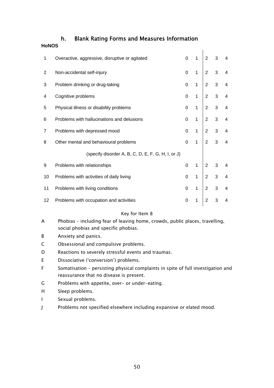### h. Blank Rating Forms and Measures Information

#### **HoNOS**

| 1  | Overactive, aggressive, disruptive or agitated     | $\mathbf 0$ | $\mathbf{1}$ | $\overline{2}$ | 3 | $\overline{\mathbf{4}}$ |
|----|----------------------------------------------------|-------------|--------------|----------------|---|-------------------------|
| 2  | Non-accidental self-injury                         | $\Omega$    | $\mathbf{1}$ | $\overline{2}$ | 3 | $\overline{\mathbf{4}}$ |
| 3  | Problem drinking or drug-taking                    | $\Omega$    | $\mathbf{1}$ | $\overline{2}$ | 3 | $\overline{\mathbf{4}}$ |
| 4  | Cognitive problems                                 | $\Omega$    | $\mathbf{1}$ | 2              | 3 | $\overline{4}$          |
| 5  | Physical illness or disability problems            | 0           | 1            | 2              | 3 | $\overline{4}$          |
| 6  | Problems with hallucinations and delusions         | $\Omega$    | $\mathbf{1}$ | 2              | 3 | $\overline{4}$          |
| 7  | Problems with depressed mood                       | 0           | $\mathbf{1}$ | 2              | 3 | $\overline{4}$          |
| 8  | Other mental and behavioural problems              | 0           | $\mathbf{1}$ | $\overline{2}$ | 3 | $\overline{4}$          |
|    | (specify disorder A, B, C, D, E, F, G, H, I, or J) |             |              |                |   |                         |
| 9  | Problems with relationships                        | 0           | 1            | $\overline{2}$ | 3 | 4                       |
| 10 | Problems with activities of daily living           | $\Omega$    | $\mathbf{1}$ | $\overline{2}$ | 3 | $\overline{4}$          |
| 11 | Problems with living conditions                    | 0           | 1            | $\overline{2}$ | 3 | $\overline{\mathbf{4}}$ |
| 12 | Problems with occupation and activities            | 0           | 1            | $\overline{2}$ | 3 | $\overline{4}$          |
|    |                                                    |             |              |                |   |                         |

#### Key for Item 8

- A Phobias including fear of leaving home, crowds, public places, travelling, social phobias and specific phobias.
- B Anxiety and panics.
- C Obsessional and compulsive problems.
- D Reactions to severely stressful events and traumas.
- E Dissociative ('conversion') problems.
- F Somatisation persisting physical complaints in spite of full investigation and reassurance that no disease is present.
- G Problems with appetite, over- or under-eating.
- H Sleep problems.
- I Sexual problems.
- J Problems not specified elsewhere including expansive or elated mood.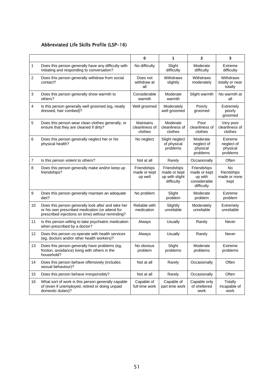### Abbreviated Life Skills Profile (LSP-16)

|                |                                                                                                                                                            | $\mathbf 0$                            | 1                                                           | $\overline{2}$                                                       | 3                                             |
|----------------|------------------------------------------------------------------------------------------------------------------------------------------------------------|----------------------------------------|-------------------------------------------------------------|----------------------------------------------------------------------|-----------------------------------------------|
| $\mathbf{1}$   | Does this person generally have any difficulty with<br>initiating and responding to conversation?                                                          | No difficulty                          | Slight<br>difficulty                                        | Moderate<br>difficulty                                               | Extreme<br>difficulty                         |
| 2              | Does this person generally withdraw from social<br>contact?                                                                                                | Does not<br>withdraw at<br>all         | Withdraws<br>slightly                                       | Withdraws<br>moderately                                              | Withdraws<br>totally or near<br>totally       |
| 3              | Does this person generally show warmth to<br>others?                                                                                                       | Considerable<br>warmth                 | Moderate<br>warmth                                          | Slight warmth                                                        | No warmth at<br>all                           |
| 4              | Is this person generally well groomed (eg, neatly<br>dressed, hair combed)?                                                                                | Well groomed                           | Moderately<br>well groomed                                  | Poorly<br>groomed                                                    | Extremely<br>poorly<br>groomed                |
| 5              | Does this person wear clean clothes generally, or<br>ensure that they are cleaned if dirty?                                                                | Maintains<br>cleanliness of<br>clothes | Moderate<br>cleanliness of<br>clothes                       | Poor<br>cleanliness of<br>clothes                                    | Very poor<br>cleanliness of<br>clothes        |
| 6              | Does this person generally neglect her or his<br>physical health?                                                                                          | No neglect                             | Slight neglect<br>of physical<br>problems                   | Moderate<br>neglect of<br>physical<br>problems                       | Extreme<br>neglect of<br>physical<br>problems |
| $\overline{7}$ | Is this person violent to others?                                                                                                                          | Not at all                             | Rarely                                                      | Occasionally                                                         | Often                                         |
| 8              | Does this person generally make and/or keep up<br>friendships?                                                                                             | Friendships<br>made or kept<br>up well | Friendships<br>made or kept<br>up with slight<br>difficulty | Friendships<br>made or kept<br>up with<br>considerable<br>difficulty | No<br>friendships<br>made or none<br>kept     |
| 9              | Does this person generally maintain an adequate<br>diet?                                                                                                   | No problem                             | Slight<br>problem                                           | Moderate<br>problem                                                  | Extreme<br>problem                            |
| 10             | Does this person generally look after and take her<br>or his own prescribed medication (or attend for<br>prescribed injections on time) without reminding? | Reliable with<br>medication            | Slightly<br>unreliable                                      | Moderately<br>unreliable                                             | Extremely<br>unreliable                       |
| 11             | Is this person willing to take psychiatric medication<br>when prescribed by a doctor?                                                                      | Always                                 | Usually                                                     | Rarely                                                               | Never                                         |
| 12             | Does this person co-operate with health services<br>(eg, doctors and/or other health workers)?                                                             | Always                                 | Usually                                                     | Rarely                                                               | Never                                         |
| 13             | Does this person generally have problems (eg,<br>friction, avoidance) living with others in the<br>household?                                              | No obvious<br>problem                  | Slight<br>problems                                          | Moderate<br>problems                                                 | Extreme<br>problems                           |
| 14             | Does this person behave offensively (includes<br>sexual behaviour)?                                                                                        | Not at all                             | Rarely                                                      | Occasionally                                                         | Often                                         |
| 15             | Does this person behave irresponsibly?                                                                                                                     | Not at all                             | Rarely                                                      | Occasionally                                                         | Often                                         |
| 16             | What sort of work is this person generally capable<br>of (even if unemployed, retired or doing unpaid<br>domestic duties)?                                 | Capable of<br>full time work           | Capable of<br>part time work                                | Capable only<br>of sheltered<br>work                                 | Totally<br>incapable of<br>work               |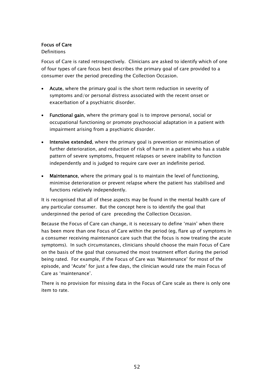#### Focus of Care

#### Definitions

Focus of Care is rated retrospectively. Clinicians are asked to identify which of one of four types of care focus best describes the primary goal of care provided to a consumer over the period preceding the Collection Occasion.

- Acute, where the primary goal is the short term reduction in severity of symptoms and/or personal distress associated with the recent onset or exacerbation of a psychiatric disorder.
- Functional gain, where the primary goal is to improve personal, social or occupational functioning or promote psychosocial adaptation in a patient with impairment arising from a psychiatric disorder.
- Intensive extended, where the primary goal is prevention or minimisation of further deterioration, and reduction of risk of harm in a patient who has a stable pattern of severe symptoms, frequent relapses or severe inability to function independently and is judged to require care over an indefinite period.
- Maintenance, where the primary goal is to maintain the level of functioning, minimise deterioration or prevent relapse where the patient has stabilised and functions relatively independently.

It is recognised that all of these aspects may be found in the mental health care of any particular consumer. But the concept here is to identify the goal that underpinned the period of care preceding the Collection Occasion.

Because the Focus of Care can change, it is necessary to define 'main' when there has been more than one Focus of Care within the period (eg, flare up of symptoms in a consumer receiving maintenance care such that the focus is now treating the acute symptoms). In such circumstances, clinicians should choose the main Focus of Care on the basis of the goal that consumed the most treatment effort during the period being rated. For example, if the Focus of Care was 'Maintenance' for most of the episode, and 'Acute' for just a few days, the clinician would rate the main Focus of Care as 'maintenance'.

There is no provision for missing data in the Focus of Care scale as there is only one item to rate.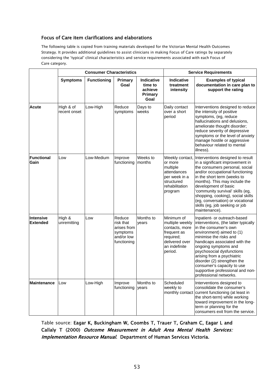#### Focus of Care item clarifications and elaborations

The following table is copied from training materials developed for the Victorian Mental Health Outcomes Strategy. It provides additional guidelines to assist clinicians in making Focus of Care ratings by separately considering the 'typical' clinical characteristics and service requirements associated with each Focus of Care category.

|                                     |                           | <b>Consumer Characteristics</b> |                                                                             | <b>Service Requirements</b>                         |                                                                                                                           |                                                                                                                                                                                                                                                                                                                                                                                                     |  |  |
|-------------------------------------|---------------------------|---------------------------------|-----------------------------------------------------------------------------|-----------------------------------------------------|---------------------------------------------------------------------------------------------------------------------------|-----------------------------------------------------------------------------------------------------------------------------------------------------------------------------------------------------------------------------------------------------------------------------------------------------------------------------------------------------------------------------------------------------|--|--|
|                                     | <b>Symptoms</b>           | <b>Functioning</b>              | <b>Primary</b><br>Goal                                                      | Indicative<br>time to<br>achieve<br>Primary<br>Goal | <b>Indicative</b><br>treatment<br>intensity                                                                               | <b>Examples of typical</b><br>documentation in care plan to<br>support the rating                                                                                                                                                                                                                                                                                                                   |  |  |
| <b>Acute</b>                        | High & of<br>recent onset | Low-High                        | Reduce<br>symptoms                                                          | Days to<br>weeks                                    | Daily contact<br>over a short<br>period                                                                                   | Interventions designed to reduce<br>the intensity of positive<br>symptoms, (eg, reduce<br>hallucinations and delusions,<br>ameliorate thought disorder;<br>reduce severity of depressive<br>symptoms or the level of anxiety<br>manage hostile or aggressive<br>behaviour related to mental<br>illness).                                                                                            |  |  |
| <b>Functional</b><br>Gain           | Low                       | Low-Medium                      | Improve<br>functioning                                                      | Weeks to<br>months                                  | Weekly contact,<br>or more<br>multiple<br>attendances<br>per week in a<br>structured<br>rehabilitation<br>program         | Interventions designed to result<br>in a significant improvement in<br>the consumers personal, social<br>and/or occupational functioning<br>in the short term (weeks to<br>months). This may include the<br>development of basic<br>'community survival' skills (eg,<br>shopping, cooking), social skills<br>(eg, conversation) or vocational<br>skills (eg, job seeking or job<br>maintenance).    |  |  |
| <b>Intensive</b><br><b>Extended</b> | High &<br>unremitting     | Low                             | Reduce<br>risk that<br>arises from<br>symptoms<br>and/or low<br>functioning | Months to<br>years                                  | Minimum of<br>multiple weekly<br>contacts, more<br>frequent as<br>required;<br>delivered over<br>an indefinite<br>period. | Inpatient- or outreach-based<br>interventions, (the latter typically<br>in the consumer's own<br>environment) aimed to (1)<br>minimise the risks and<br>handicaps associated with the<br>ongoing symptoms and<br>psychosocial dysfunctions<br>arising from a psychiatric<br>disorder (2) strengthen the<br>consumer's capacity to use<br>supportive professional and non-<br>professional networks. |  |  |
| <b>Maintenance</b>                  | Low                       | Low-High                        | Improve<br>functioning                                                      | Months to<br>years                                  | Scheduled<br>weekly to<br>monthly contact                                                                                 | Interventions designed to<br>consolidate the consumer's<br>current functioning (at least in<br>the short-term) while working<br>toward improvement in the long-<br>term or planning for the<br>consumers exit from the service.                                                                                                                                                                     |  |  |

Table source: Eagar K, Buckingham W, Coombs T, Trauer T, Graham C, Eagar L and Callaly T (2000) Outcome Measurement in Adult Area Mental Health Services: Implementation Resource Manual. Department of Human Services Victoria.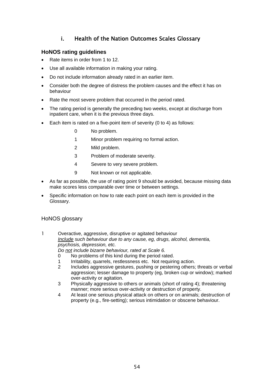## i. Health of the Nation Outcomes Scales Glossary

### **HoNOS rating guidelines**

- Rate items in order from 1 to 12.
- Use all available information in making your rating.
- Do not include information already rated in an earlier item.
- Consider both the degree of distress the problem causes and the effect it has on behaviour
- Rate the most severe problem that occurred in the period rated.
- The rating period is generally the preceding two weeks, except at discharge from inpatient care, when it is the previous three days.
- Each item is rated on a five-point item of severity (0 to 4) as follows:
	- 0 No problem.
	- 1 Minor problem requiring no formal action.
	- 2 Mild problem.
	- 3 Problem of moderate severity.
	- 4 Severe to very severe problem.
	- 9 Not known or not applicable.
- As far as possible, the use of rating point 9 should be avoided, because missing data make scores less comparable over time or between settings.
- Specific information on how to rate each point on each item is provided in the Glossary.

#### HoNOS glossary

1 Overactive, aggressive, disruptive or agitated behaviour *Include such behaviour due to any cause, eg, drugs, alcohol, dementia, psychosis, depression, etc. Do not include bizarre behaviour, rated at Scale 6.* 

0 No problems of this kind during the period rated.

- 
- 1 Irritability, quarrels, restlessness etc. Not requiring action.
- 2 Includes aggressive gestures, pushing or pestering others; threats or verbal aggression; lesser damage to property (eg, broken cup or window); marked over-activity or agitation.
- 3 Physically aggressive to others or animals (short of rating 4); threatening manner; more serious over-activity or destruction of property.
- 4 At least one serious physical attack on others or on animals; destruction of property (e.g., fire-setting); serious intimidation or obscene behaviour.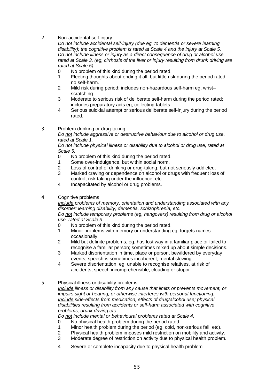2 Non-accidental self-injury

*Do not include accidental self-injury (due eg, to dementia or severe learning disability); the cognitive problem is rated at Scale 4 and the injury at Scale 5. Do not include illness or injury as a direct consequence of drug or alcohol use rated at Scale 3, (eg, cirrhosis of the liver or injury resulting from drunk driving are rated at Scale 5).* 

- 0 No problem of this kind during the period rated.
- 1 Fleeting thoughts about ending it all, but little risk during the period rated; no self-harm.
- 2 Mild risk during period; includes non-hazardous self-harm eg, wrist– scratching.
- 3 Moderate to serious risk of deliberate self-harm during the period rated; includes preparatory acts eg, collecting tablets.
- 4 Serious suicidal attempt or serious deliberate self-injury during the period rated.

3 Problem drinking or drug-taking

*Do not include aggressive or destructive behaviour due to alcohol or drug use, rated at Scale 1.* 

*Do not include physical illness or disability due to alcohol or drug use, rated at Scale 5.* 

- 0 No problem of this kind during the period rated.
- 1 Some over-indulgence, but within social norm.
- 2 Loss of control of drinking or drug-taking; but not seriously addicted.<br>3 Marked craving or dependence on alcohol or drugs with frequent loss
- Marked craving or dependence on alcohol or drugs with frequent loss of control, risk taking under the influence, etc.
- 4 Incapacitated by alcohol or drug problems.
- 4 Cognitive problems

*Include problems of memory, orientation and understanding associated with any disorder: learning disability, dementia, schizophrenia, etc.* 

*Do not include temporary problems (eg, hangovers) resulting from drug or alcohol use, rated at Scale 3.* 

- 0 No problem of this kind during the period rated.
- 1 Minor problems with memory or understanding eg, forgets names occasionally.
- 2 Mild but definite problems, eg, has lost way in a familiar place or failed to recognise a familiar person; sometimes mixed up about simple decisions.
- 3 Marked disorientation in time, place or person, bewildered by everyday events; speech is sometimes incoherent, mental slowing.
- 4 Severe disorientation, eg, unable to recognise relatives, at risk of accidents, speech incomprehensible, clouding or stupor.
- 5 Physical illness or disability problems

*Include illness or disability from any cause that limits or prevents movement, or impairs sight or hearing, or otherwise interferes with personal functioning. Include side-effects from medication; effects of drug/alcohol use; physical disabilities resulting from accidents or self-harm associated with cognitive problems, drunk driving etc.* 

*Do not include mental or behavioural problems rated at Scale 4.* 

- 0 No physical health problem during the period rated.
- 1 Minor health problem during the period (eg, cold, non-serious fall, etc).
- 2 Physical health problem imposes mild restriction on mobility and activity.
- 3 Moderate degree of restriction on activity due to physical health problem.
- 4 Severe or complete incapacity due to physical health problem.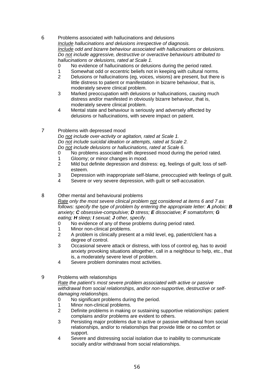6 Problems associated with hallucinations and delusions *Include hallucinations and delusions irrespective of diagnosis. Include odd and bizarre behaviour associated with hallucinations or delusions. Do not include aggressive, destructive or overactive behaviours attributed to hallucinations or delusions, rated at Scale 1.* 

- 0 No evidence of hallucinations or delusions during the period rated.
- 1 Somewhat odd or eccentric beliefs not in keeping with cultural norms.
- 2 Delusions or hallucinations (eg, voices, visions) are present, but there is little distress to patient or manifestation in bizarre behaviour, that is, moderately severe clinical problem.
- 3 Marked preoccupation with delusions or hallucinations, causing much distress and/or manifested in obviously bizarre behaviour, that is, moderately severe clinical problem.
- 4 Mental state and behaviour is seriously and adversely affected by delusions or hallucinations, with severe impact on patient.
- 7 Problems with depressed mood

*Do not include over-activity or agitation, rated at Scale 1. Do not include suicidal ideation or attempts, rated at Scale 2. Do not include delusions or hallucinations, rated at Scale 6.* 

- 0 No problems associated with depressed mood during the period rated.
- 1 Gloomy; or minor changes in mood.
- 2 Mild but definite depression and distress: eg, feelings of guilt; loss of selfesteem.
- 3 Depression with inappropriate self-blame, preoccupied with feelings of guilt.
- 4 Severe or very severe depression, with guilt or self-accusation.
- 8 Other mental and behavioural problems *Rate only the most severe clinical problem not considered at items 6 and 7 as*

*follows: specify the type of problem by entering the appropriate letter: A phobic: B anxiety; C obsessive-compulsive; D stress; E dissociative; F somatoform; G eating; H sleep; I sexual; J other, specify.* 

- 0 No evidence of any of these problems during period rated.
- 1 Minor non-clinical problems.
- 2 A problem is clinically present at a mild level, eg, patient/client has a degree of control.
- 3 Occasional severe attack or distress, with loss of control eg, has to avoid anxiety provoking situations altogether, call in a neighbour to help, etc., that is, a moderately severe level of problem.
- 4 Severe problem dominates most activities.
- 9 Problems with relationships

#### *Rate the patient's most severe problem associated with active or passive withdrawal from social relationships, and/or non-supportive, destructive or selfdamaging relationships.*

- 0 No significant problems during the period.
- 1 Minor non-clinical problems.
- 2 Definite problems in making or sustaining supportive relationships: patient complains and/or problems are evident to others.
- 3 Persisting major problems due to active or passive withdrawal from social relationships, and/or to relationships that provide little or no comfort or support.
- 4 Severe and distressing social isolation due to inability to communicate socially and/or withdrawal from social relationships.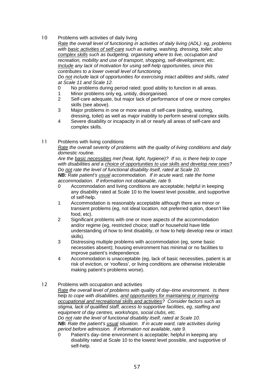10 Problems with activities of daily living

*Rate the overall level of functioning in activities of daily living (ADL): eg, problems with basic activities of self-care such as eating, washing, dressing, toilet; also complex skills such as budgeting, organising where to live, occupation and recreation, mobility and use of transport, shopping, self-development, etc. Include any lack of motivation for using self-help opportunities, since this contributes to a lower overall level of functioning.* 

*Do not include lack of opportunities for exercising intact abilities and skills, rated at Scale 11 and Scale 12.* 

- 0 No problems during period rated; good ability to function in all areas.
- 1 Minor problems only eg, untidy, disorganised.<br>2 Self-care adequate, but maior lack of performa
- Self-care adequate, but major lack of performance of one or more complex skills (see above).
- 3 Major problems in one or more areas of self-care (eating, washing, dressing, toilet) as well as major inability to perform several complex skills.
- 4 Severe disability or incapacity in all or nearly all areas of self-care and complex skills.

#### 11 Problems with living conditions

*Rate the overall severity of problems with the quality of living conditions and daily domestic routine.* 

*Are the basic necessities met (heat, light, hygiene)? If so, is there help to cope with disabilities and a choice of opportunities to use skills and develop new ones? Do not rate the level of functional disability itself, rated at Scale 10. NB: Rate patient's usual accommodation. If in acute ward, rate the home accommodation. If information not obtainable, rate 9.* 

- 0 Accommodation and living conditions are acceptable; helpful in keeping any disability rated at Scale 10 to the lowest level possible, and supportive of self-help.
- 1 Accommodation is reasonably acceptable although there are minor or transient problems (eg, not ideal location, not preferred option, doesn't like food, etc).
- 2 Significant problems with one or more aspects of the accommodation and/or regime (eg, restricted choice; staff or household have little understanding of how to limit disability, or how to help develop new or intact skills).
- 3 Distressing multiple problems with accommodation (eg, some basic necessities absent); housing environment has minimal or no facilities to improve patient's independence.
- 4 Accommodation is unacceptable (eg, lack of basic necessities, patient is at risk of eviction, or 'roofless', or living conditions are otherwise intolerable making patient's problems worse).
- 12 Problems with occupation and activities
	- *Rate the overall level of problems with quality of day–time environment. Is there help to cope with disabilities, and opportunities for maintaining or improving occupational and recreational skills and activities? Consider factors such as stigma, lack of qualified staff, access to supportive facilities, eg, staffing and equipment of day centres, workshops, social clubs, etc. Do not rate the level of functional disability itself, rated at Scale 10. NB: Rate the patient's usual situation. If in acute ward, rate activities during period before admission. If information not available, rate 9.* 
		- 0 Patient's day–time environment is acceptable; helpful in keeping any disability rated at Scale 10 to the lowest level possible, and supportive of self-help.